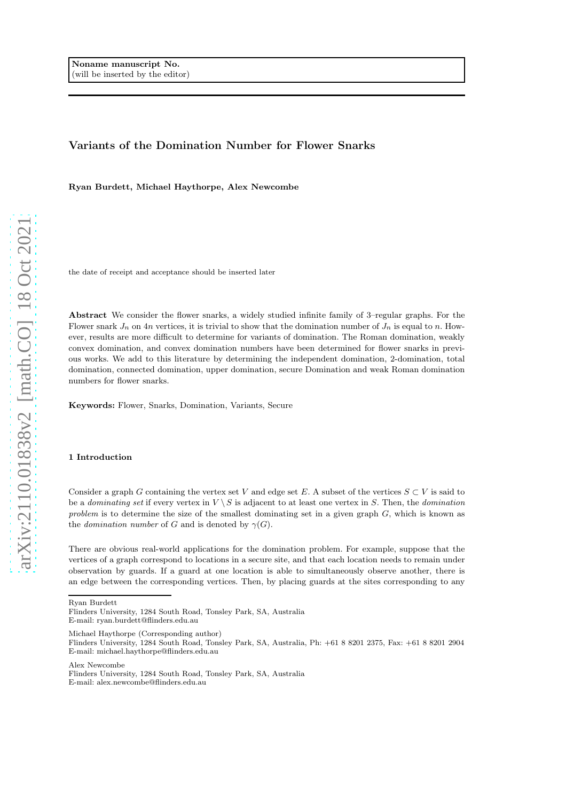# Variants of the Domination Number for Flower Snarks

Ryan Burdett, Michael Haythorpe, Alex Newcombe

the date of receipt and acceptance should be inserted later

Abstract We consider the flower snarks, a widely studied infinite family of 3–regular graphs. For the Flower snark  $J_n$  on 4n vertices, it is trivial to show that the domination number of  $J_n$  is equal to n. However, results are more difficult to determine for variants of domination. The Roman domination, weakly convex domination, and convex domination numbers have been determined for flower snarks in previous works. We add to this literature by determining the independent domination, 2-domination, total domination, connected domination, upper domination, secure Domination and weak Roman domination numbers for flower snarks.

Keywords: Flower, Snarks, Domination, Variants, Secure

### 1 Introduction

Consider a graph G containing the vertex set V and edge set E. A subset of the vertices  $S \subset V$  is said to be a dominating set if every vertex in  $V \setminus S$  is adjacent to at least one vertex in S. Then, the domination problem is to determine the size of the smallest dominating set in a given graph  $G$ , which is known as the *domination number* of G and is denoted by  $\gamma(G)$ .

There are obvious real-world applications for the domination problem. For example, suppose that the vertices of a graph correspond to locations in a secure site, and that each location needs to remain under observation by guards. If a guard at one location is able to simultaneously observe another, there is an edge between the corresponding vertices. Then, by placing guards at the sites corresponding to any

Ryan Burdett

Michael Haythorpe (Corresponding author)

Alex Newcombe

Flinders University, 1284 South Road, Tonsley Park, SA, Australia E-mail: ryan.burdett@flinders.edu.au

Flinders University, 1284 South Road, Tonsley Park, SA, Australia, Ph: +61 8 8201 2375, Fax: +61 8 8201 2904 E-mail: michael.haythorpe@flinders.edu.au

Flinders University, 1284 South Road, Tonsley Park, SA, Australia E-mail: alex.newcombe@flinders.edu.au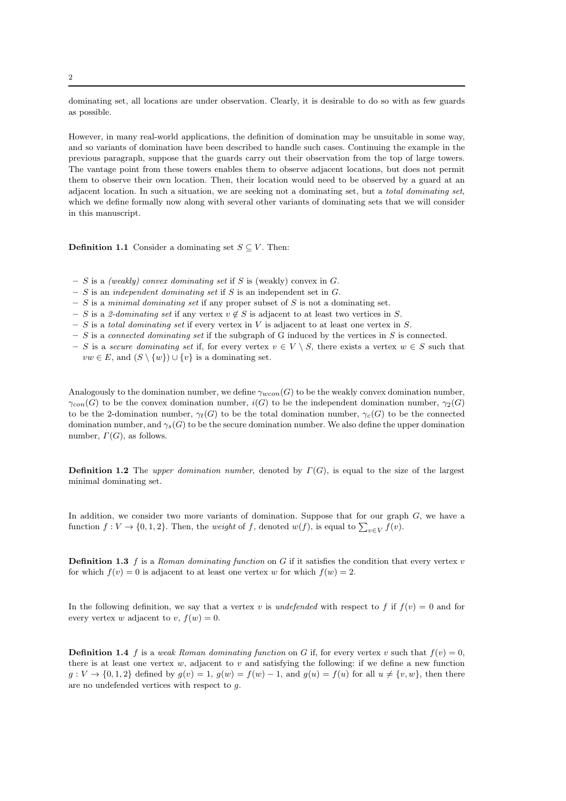dominating set, all locations are under observation. Clearly, it is desirable to do so with as few guards as possible.

However, in many real-world applications, the definition of domination may be unsuitable in some way, and so variants of domination have been described to handle such cases. Continuing the example in the previous paragraph, suppose that the guards carry out their observation from the top of large towers. The vantage point from these towers enables them to observe adjacent locations, but does not permit them to observe their own location. Then, their location would need to be observed by a guard at an adjacent location. In such a situation, we are seeking not a dominating set, but a total dominating set, which we define formally now along with several other variants of dominating sets that we will consider in this manuscript.

**Definition 1.1** Consider a dominating set  $S \subseteq V$ . Then:

- $S$  is a *(weakly) convex dominating set* if S is (weakly) convex in  $G$ .
- $S$  is an *independent dominating set* if S is an independent set in  $G$ .
- $S$  is a minimal dominating set if any proper subset of S is not a dominating set.
- S is a 2-dominating set if any vertex  $v \notin S$  is adjacent to at least two vertices in S.
- $S$  is a total dominating set if every vertex in V is adjacent to at least one vertex in S.
- $S$  is a connected dominating set if the subgraph of G induced by the vertices in S is connected.
- S is a secure dominating set if, for every vertex  $v \in V \setminus S$ , there exists a vertex  $w \in S$  such that  $vw \in E$ , and  $(S \setminus \{w\}) \cup \{v\}$  is a dominating set.

Analogously to the domination number, we define  $\gamma_{wcon}(G)$  to be the weakly convex domination number,  $\gamma_{con}(G)$  to be the convex domination number,  $i(G)$  to be the independent domination number,  $\gamma_2(G)$ to be the 2-domination number,  $\gamma_t(G)$  to be the total domination number,  $\gamma_c(G)$  to be the connected domination number, and  $\gamma_s(G)$  to be the secure domination number. We also define the upper domination number,  $\Gamma(G)$ , as follows.

**Definition 1.2** The upper domination number, denoted by  $\Gamma(G)$ , is equal to the size of the largest minimal dominating set.

In addition, we consider two more variants of domination. Suppose that for our graph  $G$ , we have a function  $f: V \to \{0, 1, 2\}$ . Then, the *weight* of f, denoted  $w(f)$ , is equal to  $\sum_{v \in V} f(v)$ .

**Definition 1.3** f is a Roman dominating function on G if it satisfies the condition that every vertex  $v$ for which  $f(v) = 0$  is adjacent to at least one vertex w for which  $f(w) = 2$ .

<span id="page-1-0"></span>In the following definition, we say that a vertex v is undefended with respect to f if  $f(v) = 0$  and for every vertex w adjacent to v,  $f(w) = 0$ .

**Definition 1.4** f is a weak Roman dominating function on G if, for every vertex v such that  $f(v) = 0$ , there is at least one vertex  $w$ , adjacent to  $v$  and satisfying the following: if we define a new function  $g: V \to \{0, 1, 2\}$  defined by  $g(v) = 1$ ,  $g(w) = f(w) - 1$ , and  $g(u) = f(u)$  for all  $u \neq \{v, w\}$ , then there are no undefended vertices with respect to g.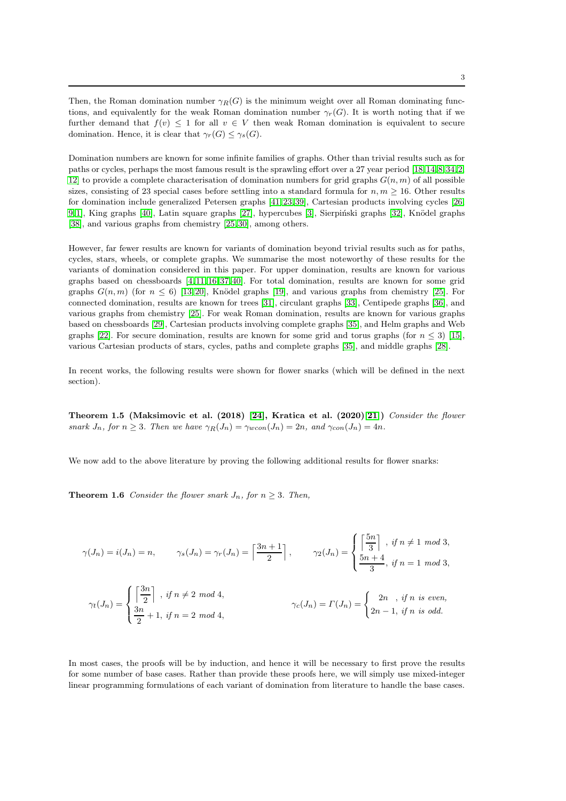Then, the Roman domination number  $\gamma_R(G)$  is the minimum weight over all Roman dominating functions, and equivalently for the weak Roman domination number  $\gamma_r(G)$ . It is worth noting that if we further demand that  $f(v) \leq 1$  for all  $v \in V$  then weak Roman domination is equivalent to secure domination. Hence, it is clear that  $\gamma_r(G) \leq \gamma_s(G)$ .

Domination numbers are known for some infinite families of graphs. Other than trivial results such as for paths or cycles, perhaps the most famous result is the sprawling effort over a 27 year period [\[18,](#page-22-0) [14,](#page-22-1) [8,](#page-22-2) [34,](#page-22-3) [2,](#page-21-0) [12\]](#page-22-4) to provide a complete characterisation of domination numbers for grid graphs  $G(n, m)$  of all possible sizes, consisting of 23 special cases before settling into a standard formula for  $n, m \geq 16$ . Other results for domination include generalized Petersen graphs [\[41,](#page-23-0) [23,](#page-22-5) [39\]](#page-23-1), Cartesian products involving cycles [\[26,](#page-22-6) [9,](#page-22-7) [1\]](#page-21-1), King graphs [\[40\]](#page-23-2), Latin square graphs [\[27\]](#page-22-8), hypercubes [\[3\]](#page-21-2), Sierpiński graphs [\[32\]](#page-22-9), Knödel graphs [\[38\]](#page-23-3), and various graphs from chemistry [\[25,](#page-22-10) [30\]](#page-22-11), among others.

However, far fewer results are known for variants of domination beyond trivial results such as for paths, cycles, stars, wheels, or complete graphs. We summarise the most noteworthy of these results for the variants of domination considered in this paper. For upper domination, results are known for various graphs based on chessboards [\[4,](#page-21-3) [11,](#page-22-12) [16,](#page-22-13) [37,](#page-22-14) [40\]](#page-23-2). For total domination, results are known for some grid graphs  $G(n, m)$  (for  $n \leq 6$ ) [\[13,](#page-22-15) [20\]](#page-22-16), Knödel graphs [\[19\]](#page-22-17), and various graphs from chemistry [\[25\]](#page-22-10). For connected domination, results are known for trees [\[31\]](#page-22-18), circulant graphs [\[33\]](#page-22-19), Centipede graphs [\[36\]](#page-22-20), and various graphs from chemistry [\[25\]](#page-22-10). For weak Roman domination, results are known for various graphs based on chessboards [\[29\]](#page-22-21), Cartesian products involving complete graphs [\[35\]](#page-22-22), and Helm graphs and Web graphs [\[22\]](#page-22-23). For secure domination, results are known for some grid and torus graphs (for  $n \leq 3$ ) [\[15\]](#page-22-24), various Cartesian products of stars, cycles, paths and complete graphs [\[35\]](#page-22-22), and middle graphs [\[28\]](#page-22-25).

In recent works, the following results were shown for flower snarks (which will be defined in the next section).

Theorem 1.5 (Maksimovic et al. (2018) [\[24\]](#page-22-26), Kratica et al. (2020)[\[21\]](#page-22-27)) Consider the flower snark  $J_n$ , for  $n \geq 3$ . Then we have  $\gamma_R(J_n) = \gamma_{wcon}(J_n) = 2n$ , and  $\gamma_{con}(J_n) = 4n$ .

<span id="page-2-0"></span>We now add to the above literature by proving the following additional results for flower snarks:

**Theorem 1.6** Consider the flower snark  $J_n$ , for  $n \geq 3$ . Then,

$$
\gamma(J_n) = i(J_n) = n, \qquad \gamma_s(J_n) = \gamma_r(J_n) = \left\lceil \frac{3n+1}{2} \right\rceil, \qquad \gamma_2(J_n) = \begin{cases} \left\lceil \frac{5n}{3} \right\rceil, & \text{if } n \neq 1 \mod 3, \\ \frac{5n+4}{3}, & \text{if } n = 1 \mod 3, \end{cases}
$$

$$
\gamma_t(J_n) = \begin{cases} \left\lceil \frac{3n}{2} \right\rceil, & \text{if } n \neq 2 \mod 4, \\ \frac{3n}{2} + 1, & \text{if } n = 2 \mod 4, \end{cases}
$$
\n
$$
\gamma_c(J_n) = \Gamma(J_n) = \begin{cases} 2n, & \text{if } n \text{ is even,} \\ 2n - 1, & \text{if } n \text{ is odd.} \end{cases}
$$

In most cases, the proofs will be by induction, and hence it will be necessary to first prove the results for some number of base cases. Rather than provide these proofs here, we will simply use mixed-integer linear programming formulations of each variant of domination from literature to handle the base cases.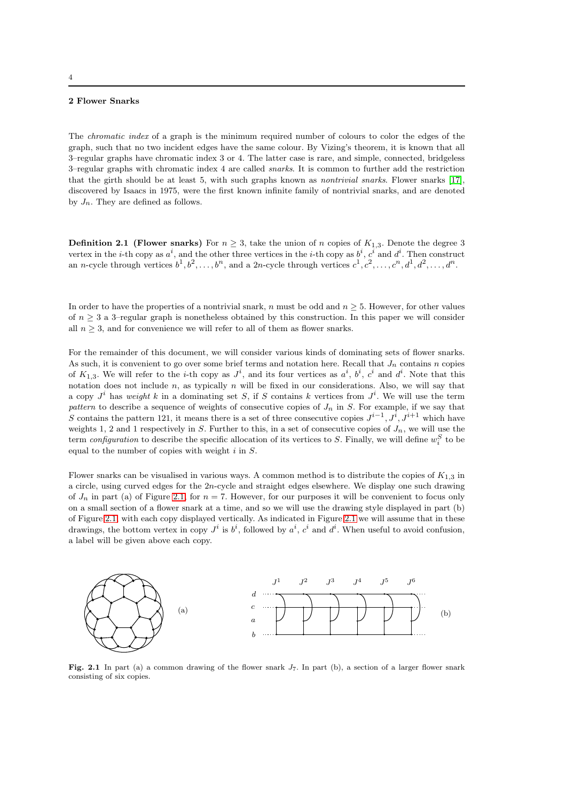#### 4

# 2 Flower Snarks

The chromatic index of a graph is the minimum required number of colours to color the edges of the graph, such that no two incident edges have the same colour. By Vizing's theorem, it is known that all 3–regular graphs have chromatic index 3 or 4. The latter case is rare, and simple, connected, bridgeless 3–regular graphs with chromatic index 4 are called snarks. It is common to further add the restriction that the girth should be at least 5, with such graphs known as nontrivial snarks. Flower snarks [\[17\]](#page-22-28), discovered by Isaacs in 1975, were the first known infinite family of nontrivial snarks, and are denoted by  $J_n$ . They are defined as follows.

**Definition 2.1 (Flower snarks)** For  $n \geq 3$ , take the union of n copies of  $K_{1,3}$ . Denote the degree 3 vertex in the *i*-th copy as  $a^i$ , and the other three vertices in the *i*-th copy as  $b^i$ ,  $c^i$  and  $d^i$ . Then construct an *n*-cycle through vertices  $b^1, b^2, \ldots, b^n$ , and a 2*n*-cycle through vertices  $c^1, c^2, \ldots, c^n, d^1, d^2, \ldots, d^n$ .

In order to have the properties of a nontrivial snark, n must be odd and  $n \geq 5$ . However, for other values of  $n \geq 3$  a 3–regular graph is nonetheless obtained by this construction. In this paper we will consider all  $n \geq 3$ , and for convenience we will refer to all of them as flower snarks.

For the remainder of this document, we will consider various kinds of dominating sets of flower snarks. As such, it is convenient to go over some brief terms and notation here. Recall that  $J_n$  contains n copies of  $K_{1,3}$ . We will refer to the *i*-th copy as  $J^i$ , and its four vertices as  $a^i$ ,  $b^i$ ,  $c^i$  and  $d^i$ . Note that this notation does not include  $n$ , as typically  $n$  will be fixed in our considerations. Also, we will say that a copy  $J^i$  has weight k in a dominating set S, if S contains k vertices from  $J^i$ . We will use the term pattern to describe a sequence of weights of consecutive copies of  $J_n$  in S. For example, if we say that S contains the pattern 121, it means there is a set of three consecutive copies  $J^{i-1}$ ,  $J^{i}$ ,  $J^{i+1}$  which have weights 1, 2 and 1 respectively in S. Further to this, in a set of consecutive copies of  $J_n$ , we will use the term *configuration* to describe the specific allocation of its vertices to S. Finally, we will define  $w_i^S$  to be equal to the number of copies with weight  $i$  in  $S$ .

Flower snarks can be visualised in various ways. A common method is to distribute the copies of  $K_{1,3}$  in a circle, using curved edges for the  $2n$ -cycle and straight edges elsewhere. We display one such drawing of  $J_n$  in part (a) of Figure [2.1,](#page-18-0) for  $n = 7$ . However, for our purposes it will be convenient to focus only on a small section of a flower snark at a time, and so we will use the drawing style displayed in part (b) of Figure [2.1,](#page-18-0) with each copy displayed vertically. As indicated in Figure [2.1](#page-18-0) we will assume that in these drawings, the bottom vertex in copy  $J^i$  is  $b^i$ , followed by  $a^i$ ,  $c^i$  and  $d^i$ . When useful to avoid confusion, a label will be given above each copy.



Fig. 2.1 In part (a) a common drawing of the flower snark  $J_7$ . In part (b), a section of a larger flower snark consisting of six copies.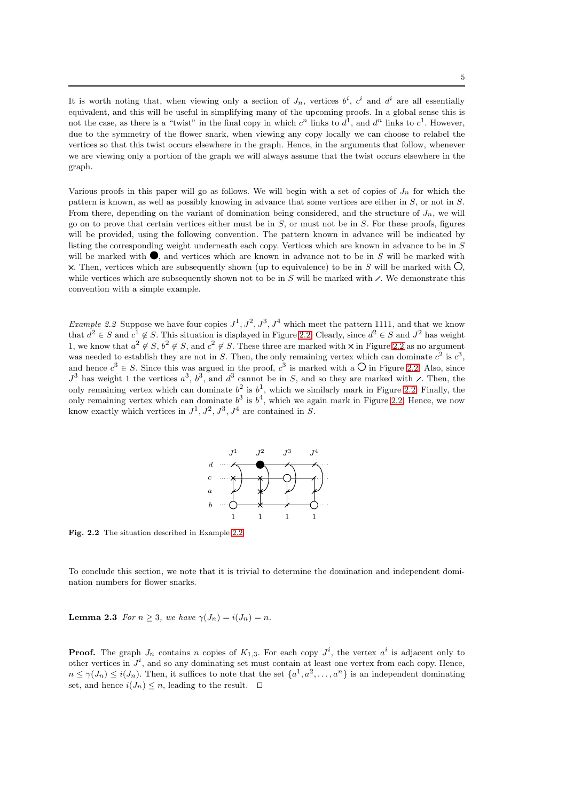It is worth noting that, when viewing only a section of  $J_n$ , vertices  $b^i$ ,  $c^i$  and  $d^i$  are all essentially equivalent, and this will be useful in simplifying many of the upcoming proofs. In a global sense this is not the case, as there is a "twist" in the final copy in which  $c^n$  links to  $d^1$ , and  $d^n$  links to  $c^1$ . However, due to the symmetry of the flower snark, when viewing any copy locally we can choose to relabel the vertices so that this twist occurs elsewhere in the graph. Hence, in the arguments that follow, whenever we are viewing only a portion of the graph we will always assume that the twist occurs elsewhere in the graph.

Various proofs in this paper will go as follows. We will begin with a set of copies of  $J_n$  for which the pattern is known, as well as possibly knowing in advance that some vertices are either in S, or not in S. From there, depending on the variant of domination being considered, and the structure of  $J_n$ , we will go on to prove that certain vertices either must be in  $S$ , or must not be in  $S$ . For these proofs, figures will be provided, using the following convention. The pattern known in advance will be indicated by listing the corresponding weight underneath each copy. Vertices which are known in advance to be in S will be marked with  $\bullet$ , and vertices which are known in advance not to be in S will be marked with X. Then, vertices which are subsequently shown (up to equivalence) to be in S will be marked with  $\overline{O}$ , while vertices which are subsequently shown not to be in S will be marked with  $\angle$ . We demonstrate this convention with a simple example.

<span id="page-4-0"></span>*Example 2.2* Suppose we have four copies  $J^1, J^2, J^3, J^4$  which meet the pattern 1111, and that we know that  $d^2 \in S$  and  $c^1 \notin S$ . This situation is displayed in Figure [2.2.](#page-18-1) Clearly, since  $d^2 \in S$  and  $J^2$  has weight 1, we know that  $a^2 \notin S$ ,  $b^2 \notin S$ , and  $c^2 \notin S$ . These three are marked with  $\times$  in Figure [2.2](#page-18-1) as no argument was needed to establish they are not in S. Then, the only remaining vertex which can dominate  $c^2$  is  $c^3$ , and hence  $c^3 \in S$ . Since this was argued in the proof,  $c^3$  is marked with a  $\bigcirc$  in Figure [2.2.](#page-18-1) Also, since  $J^3$  has weight 1 the vertices  $a^3$ ,  $b^3$ , and  $d^3$  cannot be in S, and so they are marked with  $\angle$ . Then, the only remaining vertex which can dominate  $b^2$  is  $b^1$ , which we similarly mark in Figure [2.2.](#page-18-1) Finally, the only remaining vertex which can dominate  $b^3$  is  $b^4$ , which we again mark in Figure [2.2.](#page-18-1) Hence, we now know exactly which vertices in  $J^1, J^2, J^3, J^4$  are contained in S.



Fig. 2.2 The situation described in Example [2.2.](#page-4-0)

To conclude this section, we note that it is trivial to determine the domination and independent domination numbers for flower snarks.

**Lemma 2.3** For  $n > 3$ , we have  $\gamma(J_n) = i(J_n) = n$ .

<span id="page-4-1"></span>**Proof.** The graph  $J_n$  contains n copies of  $K_{1,3}$ . For each copy  $J^i$ , the vertex  $a^i$  is adjacent only to other vertices in  $J^i$ , and so any dominating set must contain at least one vertex from each copy. Hence,  $n \leq \gamma(J_n) \leq i(J_n)$ . Then, it suffices to note that the set  $\{a^1, a^2, \ldots, a^n\}$  is an independent dominating set, and hence  $i(J_n) \leq n$ , leading to the result. □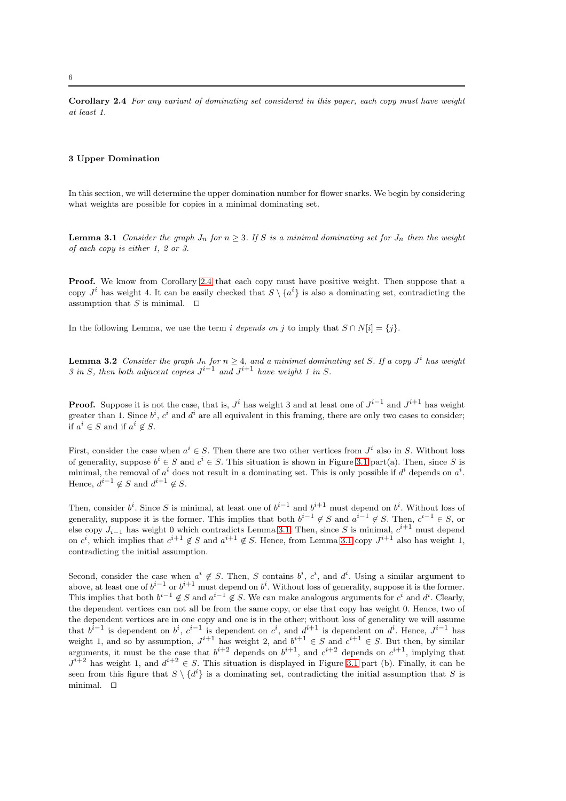Corollary 2.4 For any variant of dominating set considered in this paper, each copy must have weight at least 1.

### 3 Upper Domination

<span id="page-5-0"></span>In this section, we will determine the upper domination number for flower snarks. We begin by considering what weights are possible for copies in a minimal dominating set.

**Lemma 3.1** Consider the graph  $J_n$  for  $n \geq 3$ . If S is a minimal dominating set for  $J_n$  then the weight of each copy is either 1, 2 or 3.

**Proof.** We know from Corollary [2.4](#page-4-1) that each copy must have positive weight. Then suppose that a copy  $J^i$  has weight 4. It can be easily checked that  $S \setminus \{a^i\}$  is also a dominating set, contradicting the assumption that S is minimal.  $□$ 

<span id="page-5-1"></span>In the following Lemma, we use the term i depends on j to imply that  $S \cap N[i] = \{j\}$ .

**Lemma 3.2** Consider the graph  $J_n$  for  $n \geq 4$ , and a minimal dominating set S. If a copy  $J^i$  has weight 3 in S, then both adjacent copies  $J^{i-1}$  and  $J^{i+1}$  have weight 1 in S.

**Proof.** Suppose it is not the case, that is,  $J^i$  has weight 3 and at least one of  $J^{i-1}$  and  $J^{i+1}$  has weight greater than 1. Since  $b^i$ ,  $c^i$  and  $d^i$  are all equivalent in this framing, there are only two cases to consider; if  $a^i \in S$  and if  $a^i \notin S$ .

First, consider the case when  $a^i \in S$ . Then there are two other vertices from  $J^i$  also in S. Without loss of generality, suppose  $b^i \in S$  and  $c^i \in S$ . This situation is shown in Figure [3.1](#page-18-0) part(a). Then, since S is minimal, the removal of  $a^i$  does not result in a dominating set. This is only possible if  $d^i$  depends on  $a^i$ . Hence,  $d^{i-1} \notin S$  and  $d^{i+1} \notin S$ .

Then, consider  $b^i$ . Since S is minimal, at least one of  $b^{i-1}$  and  $b^{i+1}$  must depend on  $b^i$ . Without loss of generality, suppose it is the former. This implies that both  $b^{i-1} \notin S$  and  $a^{i-1} \notin S$ . Then,  $c^{i-1} \in S$ , or else copy  $J_{i-1}$  has weight 0 which contradicts Lemma [3.1.](#page-5-0) Then, since S is minimal,  $c^{i+1}$  must depend on  $c^i$ , which implies that  $c^{i+1} \notin S$  and  $a^{i+1} \notin S$ . Hence, from Lemma [3.1](#page-5-0) copy  $J^{i+1}$  also has weight 1, contradicting the initial assumption.

Second, consider the case when  $a^i \notin S$ . Then, S contains  $b^i, c^i$ , and  $d^i$ . Using a similar argument to above, at least one of  $b^{i-1}$  or  $b^{i+1}$  must depend on  $b^i$ . Without loss of generality, suppose it is the former. This implies that both  $b^{i-1} \notin S$  and  $a^{i-1} \notin S$ . We can make analogous arguments for  $c^i$  and  $d^i$ . Clearly, the dependent vertices can not all be from the same copy, or else that copy has weight 0. Hence, two of the dependent vertices are in one copy and one is in the other; without loss of generality we will assume that  $b^{i-1}$  is dependent on  $b^i$ ,  $c^{i-1}$  is dependent on  $c^i$ , and  $d^{i+1}$  is dependent on  $d^i$ . Hence,  $J^{i-1}$  has weight 1, and so by assumption,  $J^{i+1}$  has weight 2, and  $b^{i+1} \in S$  and  $c^{i+1} \in S$ . But then, by similar arguments, it must be the case that  $b^{i+2}$  depends on  $b^{i+1}$ , and  $c^{i+2}$  depends on  $c^{i+1}$ , implying that  $J^{i+2}$  has weight 1, and  $d^{i+2} \in S$ . This situation is displayed in Figure [3.1](#page-18-0) part (b). Finally, it can be seen from this figure that  $S \setminus \{d^i\}$  is a dominating set, contradicting the initial assumption that S is minimal. ⊓⊔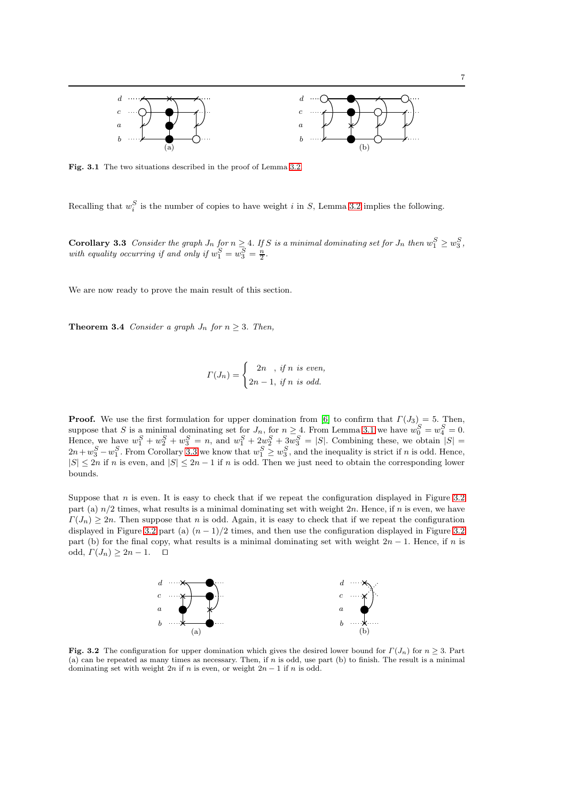

Fig. 3.1 The two situations described in the proof of Lemma [3.2.](#page-5-1)

<span id="page-6-0"></span>Recalling that  $w_i^S$  is the number of copies to have weight i in S, Lemma [3.2](#page-5-1) implies the following.

**Corollary 3.3** Consider the graph  $J_n$  for  $n \geq 4$ . If S is a minimal dominating set for  $J_n$  then  $w_1^S \geq w_3^S$ , with equality occurring if and only if  $w_1^S = w_3^S = \frac{n}{2}$ .

We are now ready to prove the main result of this section.

**Theorem 3.4** Consider a graph  $J_n$  for  $n \geq 3$ . Then,

$$
\Gamma(J_n) = \begin{cases} 2n, & \text{if } n \text{ is even,} \\ 2n-1, & \text{if } n \text{ is odd.} \end{cases}
$$

**Proof.** We use the first formulation for upper domination from [\[6\]](#page-22-29) to confirm that  $\Gamma(J_3) = 5$ . Then, suppose that S is a minimal dominating set for  $J_n$ , for  $n \geq 4$ . From Lemma [3.1](#page-5-0) we have  $w_0^S = w_4^S = 0$ . Hence, we have  $w_1^S + w_2^S + w_3^S = n$ , and  $w_1^S + 2w_2^S + 3w_3^S = |S|$ . Combining these, we obtain  $|S| =$  $2n + w_3^S - w_1^S$ . From Corollary [3.3](#page-6-0) we know that  $w_1^S \geq w_3^S$ , and the inequality is strict if n is odd. Hence,  $|S| \leq 2n$  if n is even, and  $|S| \leq 2n-1$  if n is odd. Then we just need to obtain the corresponding lower bounds.

Suppose that  $n$  is even. It is easy to check that if we repeat the configuration displayed in Figure [3.2](#page-18-1) part (a)  $n/2$  times, what results is a minimal dominating set with weight  $2n$ . Hence, if n is even, we have  $\Gamma(J_n) \geq 2n$ . Then suppose that n is odd. Again, it is easy to check that if we repeat the configuration displayed in Figure [3.2](#page-18-1) part (a)  $(n - 1)/2$  times, and then use the configuration displayed in Figure 3.2 part (b) for the final copy, what results is a minimal dominating set with weight  $2n - 1$ . Hence, if n is odd,  $\Gamma(J_n) \geq 2n-1$ . □



**Fig. 3.2** The configuration for upper domination which gives the desired lower bound for  $\Gamma(J_n)$  for  $n \geq 3$ . Part (a) can be repeated as many times as necessary. Then, if n is odd, use part (b) to finish. The result is a minimal dominating set with weight  $2n$  if n is even, or weight  $2n - 1$  if n is odd.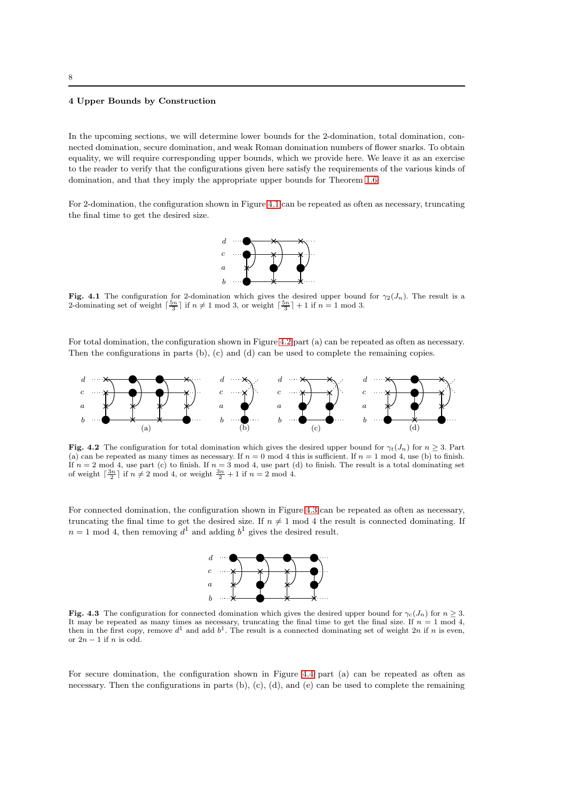#### <span id="page-7-0"></span>4 Upper Bounds by Construction

In the upcoming sections, we will determine lower bounds for the 2-domination, total domination, connected domination, secure domination, and weak Roman domination numbers of flower snarks. To obtain equality, we will require corresponding upper bounds, which we provide here. We leave it as an exercise to the reader to verify that the configurations given here satisfy the requirements of the various kinds of domination, and that they imply the appropriate upper bounds for Theorem [1.6.](#page-2-0)

For 2-domination, the configuration shown in Figure [4.1](#page-18-0) can be repeated as often as necessary, truncating the final time to get the desired size.



Fig. 4.1 The configuration for 2-domination which gives the desired upper bound for  $\gamma_2(J_n)$ . The result is a 2-dominating set of weight  $\lceil \frac{5n}{3} \rceil$  if  $n \neq 1 \mod 3$ , or weight  $\lceil \frac{5n}{3} \rceil + 1$  if  $n = 1 \mod 3$ .

For total domination, the configuration shown in Figure [4.2](#page-18-1) part (a) can be repeated as often as necessary. Then the configurations in parts (b), (c) and (d) can be used to complete the remaining copies.



Fig. 4.2 The configuration for total domination which gives the desired upper bound for  $\gamma_t(J_n)$  for  $n \geq 3$ . Part (a) can be repeated as many times as necessary. If  $n = 0 \mod 4$  this is sufficient. If  $n = 1 \mod 4$ , use (b) to finish. If  $n = 2 \mod 4$ , use part (c) to finish. If  $n = 3 \mod 4$ , use part (d) to finish. The result is a total dominating set of weight  $\lceil \frac{3n}{2} \rceil$  if  $n \neq 2 \mod 4$ , or weight  $\frac{3n}{2} + 1$  if  $n = 2 \mod 4$ .

For connected domination, the configuration shown in Figure [4.3](#page-21-4) can be repeated as often as necessary, truncating the final time to get the desired size. If  $n \neq 1$  mod 4 the result is connected dominating. If  $n=1 \mod 4$ , then removing  $d^1$  and adding  $b^1$  gives the desired result.



Fig. 4.3 The configuration for connected domination which gives the desired upper bound for  $\gamma_c(J_n)$  for  $n \geq 3$ . It may be repeated as many times as necessary, truncating the final time to get the final size. If  $n = 1 \text{ mod } 4$ , then in the first copy, remove  $d^1$  and add  $b^1$ . The result is a connected dominating set of weight 2n if n is even, or  $2n-1$  if n is odd.

For secure domination, the configuration shown in Figure [4.4](#page-14-0) part (a) can be repeated as often as necessary. Then the configurations in parts  $(b)$ ,  $(c)$ ,  $(d)$ , and  $(e)$  can be used to complete the remaining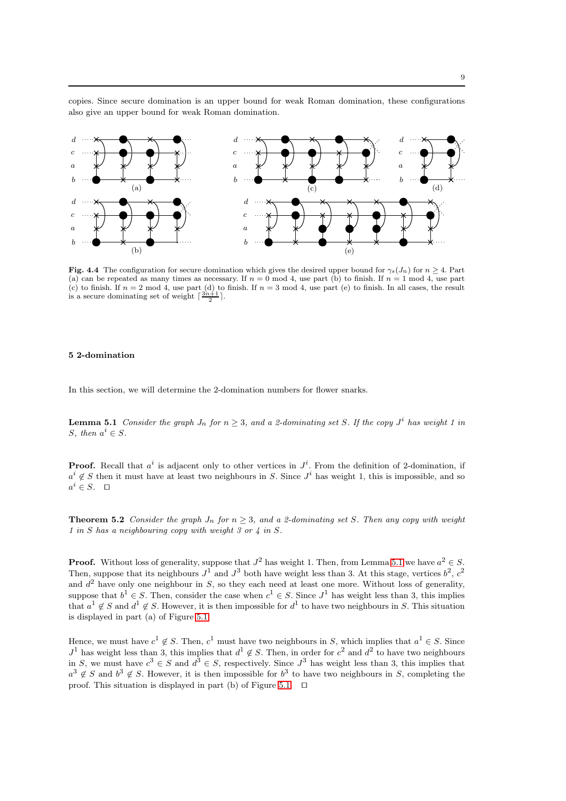copies. Since secure domination is an upper bound for weak Roman domination, these configurations also give an upper bound for weak Roman domination.



Fig. 4.4 The configuration for secure domination which gives the desired upper bound for  $\gamma_s(J_n)$  for  $n \geq 4$ . Part (a) can be repeated as many times as necessary. If  $n = 0 \mod 4$ , use part (b) to finish. If  $n = 1 \mod 4$ , use part (c) to finish. If  $n = 2 \mod 4$ , use part (d) to finish. If  $n = 3 \mod 4$ , use part (e) to finish. In all cases, the result is a secure dominating set of weight  $\lceil \frac{3n+1}{2} \rceil$ .

#### 5 2-domination

<span id="page-8-0"></span>In this section, we will determine the 2-domination numbers for flower snarks.

**Lemma 5.1** Consider the graph  $J_n$  for  $n \geq 3$ , and a 2-dominating set S. If the copy  $J^i$  has weight 1 in S, then  $a^i \in S$ .

<span id="page-8-1"></span>**Proof.** Recall that  $a^i$  is adjacent only to other vertices in  $J^i$ . From the definition of 2-domination, if  $a^i \notin S$  then it must have at least two neighbours in S. Since  $J^i$  has weight 1, this is impossible, and so  $a^i$  ∈ S. □

**Theorem 5.2** Consider the graph  $J_n$  for  $n \geq 3$ , and a 2-dominating set S. Then any copy with weight 1 in S has a neighbouring copy with weight 3 or 4 in S.

**Proof.** Without loss of generality, suppose that  $J^2$  has weight 1. Then, from Lemma [5.1](#page-8-0) we have  $a^2 \in S$ . Then, suppose that its neighbours  $J^1$  and  $J^3$  both have weight less than 3. At this stage, vertices  $b^2$ ,  $c^2$ and  $d^2$  have only one neighbour in S, so they each need at least one more. Without loss of generality, suppose that  $b^1 \in S$ . Then, consider the case when  $c^1 \in S$ . Since  $J^1$  has weight less than 3, this implies that  $a^1 \notin S$  and  $d^1 \notin S$ . However, it is then impossible for  $d^1$  to have two neighbours in S. This situation is displayed in part (a) of Figure [5.1.](#page-18-0)

Hence, we must have  $c^1 \notin S$ . Then,  $c^1$  must have two neighbours in S, which implies that  $a^1 \in S$ . Since  $J<sup>1</sup>$  has weight less than 3, this implies that  $d<sup>1</sup> \notin S$ . Then, in order for  $c<sup>2</sup>$  and  $d<sup>2</sup>$  to have two neighbours in S, we must have  $c^3 \in S$  and  $d^3 \in S$ , respectively. Since  $J^3$  has weight less than 3, this implies that  $a^3 \notin S$  and  $b^3 \notin S$ . However, it is then impossible for  $b^3$  to have two neighbours in S, completing the proof. This situation is displayed in part (b) of Figure [5.1.](#page-18-0) ⊓⊔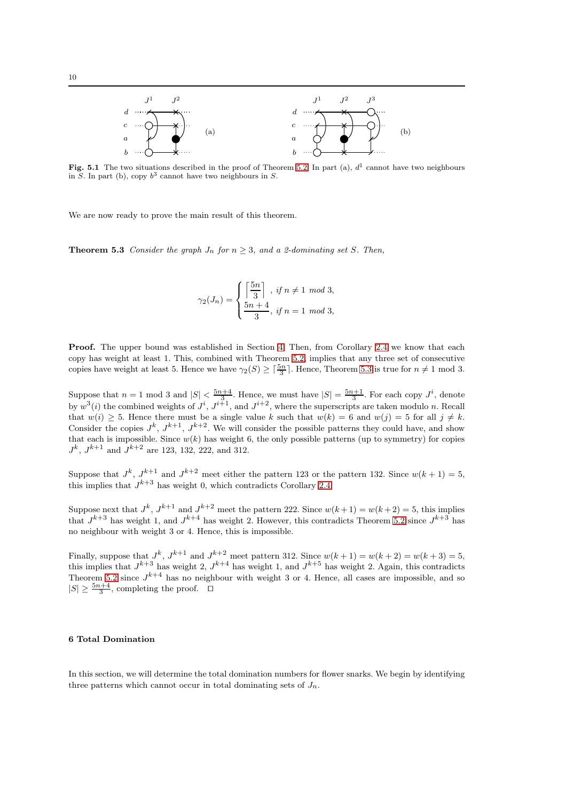

Fig. 5.1 The two situations described in the proof of Theorem [5.2.](#page-8-1) In part (a),  $d<sup>1</sup>$  cannot have two neighbours in S. In part (b), copy  $b^3$  cannot have two neighbours in S.

<span id="page-9-0"></span>We are now ready to prove the main result of this theorem.

**Theorem 5.3** Consider the graph  $J_n$  for  $n \geq 3$ , and a 2-dominating set S. Then,

$$
\gamma_2(J_n) = \begin{cases} \left\lceil \frac{5n}{3} \right\rceil, & \text{if } n \neq 1 \mod 3, \\ \frac{5n+4}{3}, & \text{if } n = 1 \mod 3, \end{cases}
$$

**Proof.** The upper bound was established in Section [4.](#page-7-0) Then, from Corollary [2.4](#page-4-1) we know that each copy has weight at least 1. This, combined with Theorem [5.2,](#page-8-1) implies that any three set of consecutive copies have weight at least 5. Hence we have  $\gamma_2(S) \geq \lceil \frac{5n}{3} \rceil$ . Hence, Theorem [5.3](#page-9-0) is true for  $n \neq 1$  mod 3.

Suppose that  $n=1$  mod 3 and  $|S| < \frac{5n+4}{3}$ . Hence, we must have  $|S| = \frac{5n+1}{3}$ . For each copy  $J^i$ , denote by  $w^3(i)$  the combined weights of  $J^i$ ,  $J^{i+1}$ , and  $J^{i+2}$ , where the superscripts are taken modulo n. Recall that  $w(i) \geq 5$ . Hence there must be a single value k such that  $w(k) = 6$  and  $w(j) = 5$  for all  $j \neq k$ . Consider the copies  $J^k$ ,  $J^{k+1}$ ,  $J^{k+2}$ . We will consider the possible patterns they could have, and show that each is impossible. Since  $w(k)$  has weight 6, the only possible patterns (up to symmetry) for copies  $J^k$ ,  $J^{k+1}$  and  $J^{k+2}$  are 123, 132, 222, and 312.

Suppose that  $J^k$ ,  $J^{k+1}$  and  $J^{k+2}$  meet either the pattern 123 or the pattern 132. Since  $w(k+1) = 5$ , this implies that  $J^{k+3}$  has weight 0, which contradicts Corollary [2.4.](#page-4-1)

Suppose next that  $J^k$ ,  $J^{k+1}$  and  $J^{k+2}$  meet the pattern 222. Since  $w(k+1) = w(k+2) = 5$ , this implies that  $J^{k+3}$  has weight 1, and  $J^{k+4}$  has weight 2. However, this contradicts Theorem [5.2](#page-8-1) since  $J^{k+3}$  has no neighbour with weight 3 or 4. Hence, this is impossible.

Finally, suppose that  $J^k$ ,  $J^{k+1}$  and  $J^{k+2}$  meet pattern 312. Since  $w(k+1) = w(k+2) = w(k+3) = 5$ , this implies that  $J^{k+3}$  has weight 2,  $J^{k+4}$  has weight 1, and  $J^{k+5}$  has weight 2. Again, this contradicts Theorem [5.2](#page-8-1) since  $J^{k+4}$  has no neighbour with weight 3 or 4. Hence, all cases are impossible, and so  $|S| \geq \frac{5n+4}{3}$ , completing the proof.  $□$ 

## 6 Total Domination

<span id="page-9-1"></span>In this section, we will determine the total domination numbers for flower snarks. We begin by identifying three patterns which cannot occur in total dominating sets of  $J_n$ .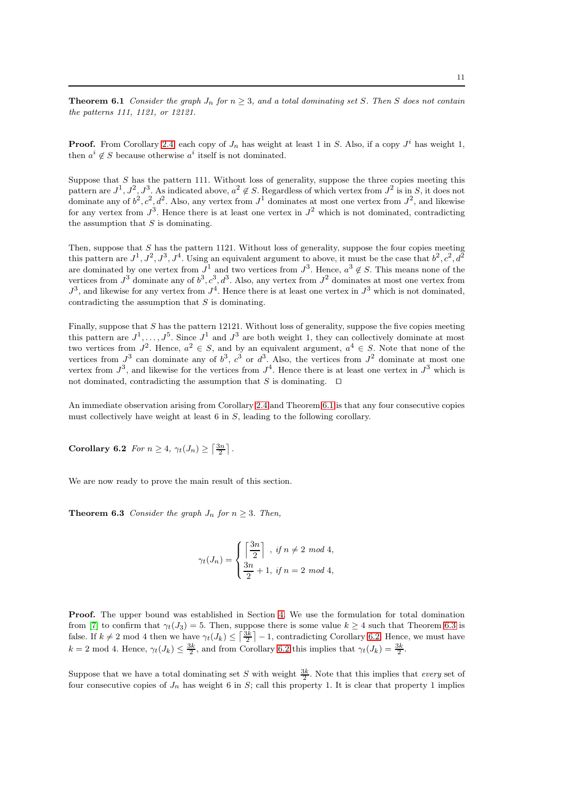**Theorem 6.1** Consider the graph  $J_n$  for  $n \geq 3$ , and a total dominating set S. Then S does not contain the patterns 111, 1121, or 12121.

**Proof.** From Corollary [2.4,](#page-4-1) each copy of  $J_n$  has weight at least 1 in S. Also, if a copy  $J^i$  has weight 1, then  $a^i \notin S$  because otherwise  $a^i$  itself is not dominated.

Suppose that  $S$  has the pattern 111. Without loss of generality, suppose the three copies meeting this pattern are  $J^1, J^2, J^3$ . As indicated above,  $a^2 \notin S$ . Regardless of which vertex from  $J^2$  is in S, it does not dominate any of  $b^2$ ,  $c^2$ ,  $d^2$ . Also, any vertex from  $J^1$  dominates at most one vertex from  $J^2$ , and likewise for any vertex from  $J^3$ . Hence there is at least one vertex in  $J^2$  which is not dominated, contradicting the assumption that  $S$  is dominating.

Then, suppose that  $S$  has the pattern 1121. Without loss of generality, suppose the four copies meeting this pattern are  $J^1, J^2, J^3, J^4$ . Using an equivalent argument to above, it must be the case that  $b^2, c^2, d^2$ are dominated by one vertex from  $J^1$  and two vertices from  $J^3$ . Hence,  $a^3 \notin S$ . This means none of the vertices from  $J^3$  dominate any of  $b^3, c^3, d^3$ . Also, any vertex from  $J^2$  dominates at most one vertex from  $J^3$ , and likewise for any vertex from  $J^4$ . Hence there is at least one vertex in  $J^3$  which is not dominated, contradicting the assumption that  $S$  is dominating.

Finally, suppose that  $S$  has the pattern 12121. Without loss of generality, suppose the five copies meeting this pattern are  $J^1, \ldots, J^5$ . Since  $J^1$  and  $J^3$  are both weight 1, they can collectively dominate at most two vertices from  $J^2$ . Hence,  $a^2 \in S$ , and by an equivalent argument,  $a^4 \in S$ . Note that none of the vertices from  $J^3$  can dominate any of  $b^3$ ,  $c^3$  or  $d^3$ . Also, the vertices from  $J^2$  dominate at most one vertex from  $J^3$ , and likewise for the vertices from  $J^4$ . Hence there is at least one vertex in  $J^3$  which is not dominated, contradicting the assumption that S is dominating. ⊓⊔

<span id="page-10-1"></span>An immediate observation arising from Corollary [2.4](#page-4-1) and Theorem [6.1](#page-9-1) is that any four consecutive copies must collectively have weight at least 6 in S, leading to the following corollary.

Corollary 6.2 For  $n \geq 4$ ,  $\gamma_t(J_n) \geq \left\lceil \frac{3n}{2} \right\rceil$ .

<span id="page-10-0"></span>We are now ready to prove the main result of this section.

**Theorem 6.3** Consider the graph  $J_n$  for  $n \geq 3$ . Then,

$$
\gamma_t(J_n) = \begin{cases} \left\lceil \frac{3n}{2} \right\rceil, & \text{if } n \neq 2 \mod 4, \\ \frac{3n}{2} + 1, & \text{if } n = 2 \mod 4, \end{cases}
$$

Proof. The upper bound was established in Section [4.](#page-7-0) We use the formulation for total domination from [\[7\]](#page-22-30) to confirm that  $\gamma_t(J_3) = 5$ . Then, suppose there is some value  $k \geq 4$  such that Theorem [6.3](#page-10-0) is false. If  $k \neq 2 \mod 4$  then we have  $\gamma_t(J_k) \leq \left\lceil \frac{3k}{2} \right\rceil - 1$ , contradicting Corollary [6.2.](#page-10-1) Hence, we must have  $k = 2 \text{ mod } 4.$  Hence,  $\gamma_t(J_k) \leq \frac{3k}{2}$ , and from Corollary [6.2](#page-10-1) this implies that  $\gamma_t(J_k) = \frac{3k}{2}$ .

Suppose that we have a total dominating set S with weight  $\frac{3k}{2}$ . Note that this implies that *every* set of four consecutive copies of  $J_n$  has weight 6 in S; call this property 1. It is clear that property 1 implies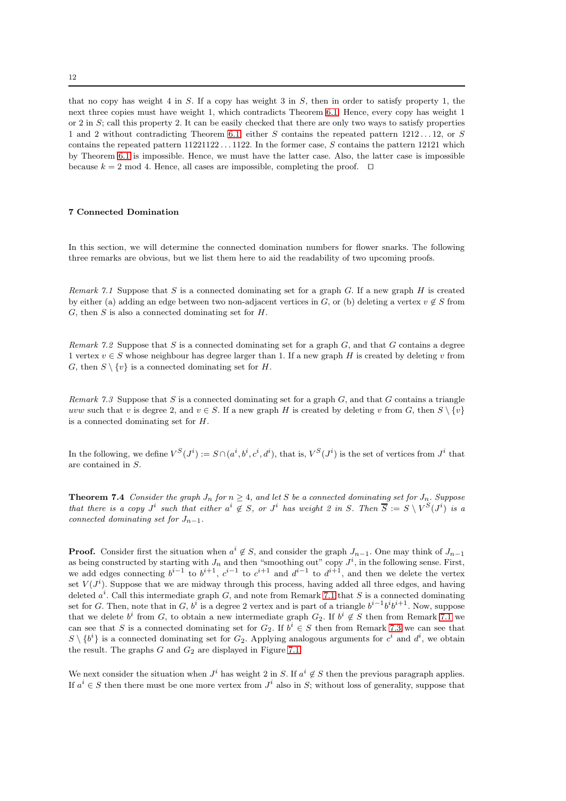that no copy has weight 4 in S. If a copy has weight 3 in S, then in order to satisfy property 1, the next three copies must have weight 1, which contradicts Theorem [6.1.](#page-9-1) Hence, every copy has weight 1 or 2 in  $S$ ; call this property 2. It can be easily checked that there are only two ways to satisfy properties 1 and 2 without contradicting Theorem [6.1;](#page-9-1) either S contains the repeated pattern  $1212...12$ , or S contains the repeated pattern 11221122 . . . 1122. In the former case, S contains the pattern 12121 which by Theorem [6.1](#page-9-1) is impossible. Hence, we must have the latter case. Also, the latter case is impossible because  $k = 2 \text{ mod } 4$ . Hence, all cases are impossible, completing the proof.  $□$ 

# 7 Connected Domination

<span id="page-11-0"></span>In this section, we will determine the connected domination numbers for flower snarks. The following three remarks are obvious, but we list them here to aid the readability of two upcoming proofs.

Remark 7.1 Suppose that S is a connected dominating set for a graph G. If a new graph H is created by either (a) adding an edge between two non-adjacent vertices in G, or (b) deleting a vertex  $v \notin S$  from  $G$ , then  $S$  is also a connected dominating set for  $H$ .

<span id="page-11-2"></span>Remark 7.2 Suppose that S is a connected dominating set for a graph  $G$ , and that G contains a degree 1 vertex  $v \in S$  whose neighbour has degree larger than 1. If a new graph H is created by deleting v from G, then  $S \setminus \{v\}$  is a connected dominating set for H.

<span id="page-11-1"></span>Remark 7.3 Suppose that S is a connected dominating set for a graph  $G$ , and that G contains a triangle uvw such that v is degree 2, and  $v \in S$ . If a new graph H is created by deleting v from G, then  $S \setminus \{v\}$ is a connected dominating set for H.

<span id="page-11-3"></span>In the following, we define  $V^S(J^i) := S \cap (a^i, b^i, c^i, d^i)$ , that is,  $V^S(J^i)$  is the set of vertices from  $J^i$  that are contained in S.

**Theorem 7.4** Consider the graph  $J_n$  for  $n \geq 4$ , and let S be a connected dominating set for  $J_n$ . Suppose that there is a copy  $J^i$  such that either  $a^i \notin S$ , or  $J^i$  has weight 2 in S. Then  $\overline{S} := S \setminus V^S(J^i)$  is a connected dominating set for  $J_{n-1}$ .

**Proof.** Consider first the situation when  $a^i \notin S$ , and consider the graph  $J_{n-1}$ . One may think of  $J_{n-1}$ as being constructed by starting with  $J_n$  and then "smoothing out" copy  $J^i$ , in the following sense. First, we add edges connecting  $b^{i-1}$  to  $b^{i+1}$ ,  $c^{i-1}$  to  $c^{i+1}$  and  $d^{i-1}$  to  $d^{i+1}$ , and then we delete the vertex set  $V(J^i)$ . Suppose that we are midway through this process, having added all three edges, and having deleted  $a^i$ . Call this intermediate graph G, and note from Remark [7.1](#page-11-0) that S is a connected dominating set for G. Then, note that in G,  $b^i$  is a degree 2 vertex and is part of a triangle  $b^{i-1}b^ib^{i+1}$ . Now, suppose that we delete  $b^i$  from G, to obtain a new intermediate graph  $G_2$ . If  $b^i \notin S$  then from Remark [7.1](#page-11-0) we can see that S is a connected dominating set for  $G_2$ . If  $b^i \in S$  then from Remark [7.3](#page-11-1) we can see that  $S \setminus \{b^i\}$  is a connected dominating set for  $G_2$ . Applying analogous arguments for  $c^i$  and  $d^i$ , we obtain the result. The graphs  $G$  and  $G_2$  are displayed in Figure [7.1](#page-18-0)

We next consider the situation when  $J^i$  has weight 2 in S. If  $a^i \notin S$  then the previous paragraph applies. If  $a^i \in S$  then there must be one more vertex from  $J^i$  also in S; without loss of generality, suppose that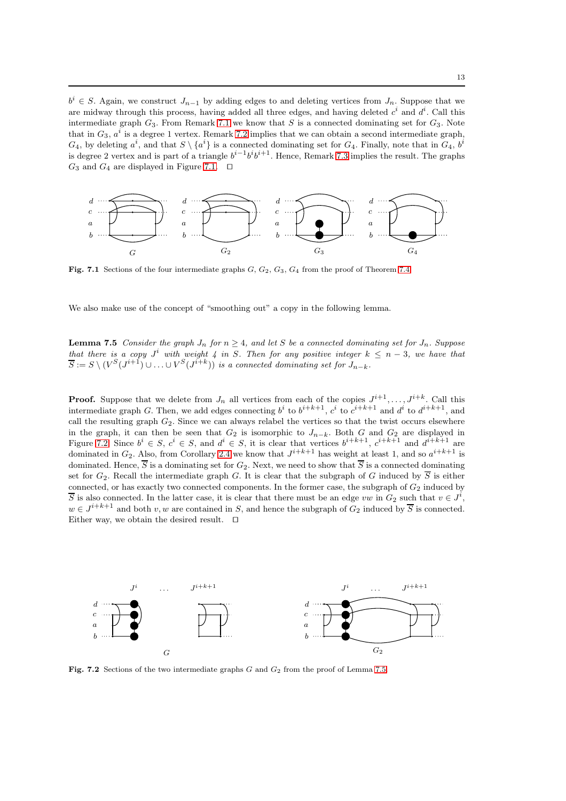$b^i \in S$ . Again, we construct  $J_{n-1}$  by adding edges to and deleting vertices from  $J_n$ . Suppose that we are midway through this process, having added all three edges, and having deleted  $c^i$  and  $d^i$ . Call this intermediate graph  $G_3$ . From Remark [7.1](#page-11-0) we know that S is a connected dominating set for  $G_3$ . Note that in  $G_3$ ,  $a^i$  is a degree 1 vertex. Remark [7.2](#page-11-2) implies that we can obtain a second intermediate graph,  $G_4$ , by deleting  $a^i$ , and that  $S \setminus \{a^i\}$  is a connected dominating set for  $G_4$ . Finally, note that in  $G_4$ ,  $b^i$ is degree 2 vertex and is part of a triangle  $b^{i-1}b^ib^{i+1}$ . Hence, Remark [7.3](#page-11-1) implies the result. The graphs G<sub>3</sub> and G<sub>4</sub> are displayed in Figure [7.1.](#page-18-0) □



Fig. 7.1 Sections of the four intermediate graphs  $G$ ,  $G_2$ ,  $G_3$ ,  $G_4$  from the proof of Theorem [7.4.](#page-11-3)

<span id="page-12-0"></span>We also make use of the concept of "smoothing out" a copy in the following lemma.

**Lemma 7.5** Consider the graph  $J_n$  for  $n \geq 4$ , and let S be a connected dominating set for  $J_n$ . Suppose that there is a copy  $J^i$  with weight 4 in S. Then for any positive integer  $k \leq n-3$ , we have that  $\overline{S} := S \setminus (V^S(J^{i+1}) \cup \ldots \cup V^S(J^{i+k}))$  is a connected dominating set for  $J_{n-k}$ .

**Proof.** Suppose that we delete from  $J_n$  all vertices from each of the copies  $J^{i+1}, \ldots, J^{i+k}$ . Call this intermediate graph G. Then, we add edges connecting  $b^i$  to  $b^{i+k+1}$ ,  $c^i$  to  $c^{i+k+1}$  and  $d^i$  to  $d^{i+k+1}$ , and call the resulting graph  $G_2$ . Since we can always relabel the vertices so that the twist occurs elsewhere in the graph, it can then be seen that  $G_2$  is isomorphic to  $J_{n-k}$ . Both G and  $G_2$  are displayed in Figure [7.2.](#page-18-1) Since  $b^i \in S$ ,  $c^i \in S$ , and  $d^i \in S$ , it is clear that vertices  $b^{i+k+1}$ ,  $c^{i+k+1}$  and  $d^{i+k+1}$  are dominated in  $G_2$ . Also, from Corollary [2.4](#page-4-1) we know that  $J^{i+k+1}$  has weight at least 1, and so  $a^{i+k+1}$  is dominated. Hence,  $\overline{S}$  is a dominating set for  $G_2$ . Next, we need to show that  $\overline{S}$  is a connected dominating set for  $G_2$ . Recall the intermediate graph G. It is clear that the subgraph of G induced by  $\overline{S}$  is either connected, or has exactly two connected components. In the former case, the subgraph of  $G_2$  induced by S is also connected. In the latter case, it is clear that there must be an edge vw in  $G_2$  such that  $v \in J^i$ ,  $w \in J^{i+k+1}$  and both  $v, w$  are contained in S, and hence the subgraph of  $G_2$  induced by  $\overline{S}$  is connected. Either way, we obtain the desired result. ⊓⊔



<span id="page-12-1"></span>Fig. 7.2 Sections of the two intermediate graphs  $G$  and  $G_2$  from the proof of Lemma [7.5.](#page-12-0)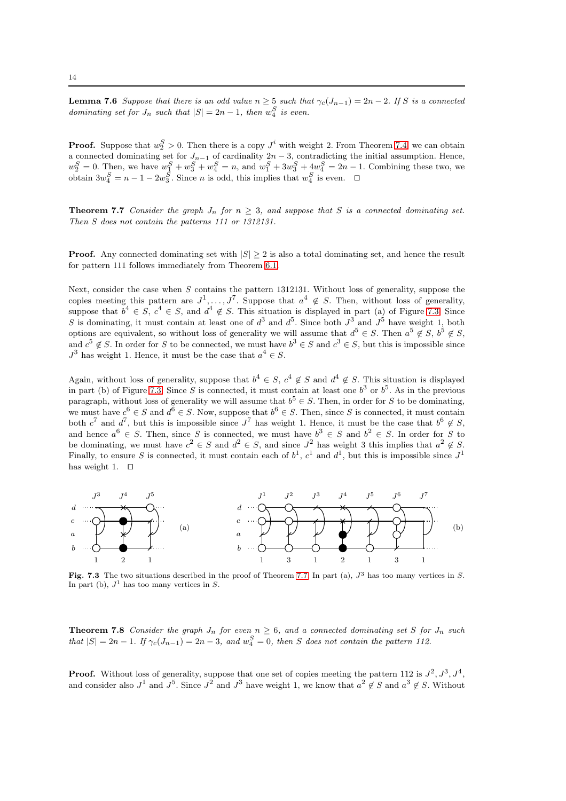**Lemma 7.6** Suppose that there is an odd value  $n \geq 5$  such that  $\gamma_c(J_{n-1}) = 2n - 2$ . If S is a connected dominating set for  $J_n$  such that  $|S| = 2n - 1$ , then  $w_4^S$  is even.

**Proof.** Suppose that  $w_2^S > 0$ . Then there is a copy  $J^i$  with weight 2. From Theorem [7.4,](#page-11-3) we can obtain a connected dominating set for  $J_{n-1}$  of cardinality  $2n-3$ , contradicting the initial assumption. Hence,  $w_2^S = 0$ . Then, we have  $w_1^S + w_3^S + w_4^S = n$ , and  $w_1^S + 3w_3^S + 4w_4^S = 2n - 1$ . Combining these two, we obtain  $3w_4^S = n - 1 - 2w_3^S$ . Since *n* is odd, this implies that  $w_4^S$  is even.  $\Box$ 

<span id="page-13-0"></span>**Theorem 7.7** Consider the graph  $J_n$  for  $n \geq 3$ , and suppose that S is a connected dominating set. Then S does not contain the patterns 111 or 1312131.

**Proof.** Any connected dominating set with  $|S| \geq 2$  is also a total dominating set, and hence the result for pattern 111 follows immediately from Theorem [6.1.](#page-9-1)

Next, consider the case when S contains the pattern 1312131. Without loss of generality, suppose the copies meeting this pattern are  $J^1, \ldots, J^7$ . Suppose that  $a^4 \notin S$ . Then, without loss of generality, suppose that  $b^4 \in S$ ,  $c^4 \in S$ , and  $d^4 \notin S$ . This situation is displayed in part (a) of Figure [7.3.](#page-21-4) Since S is dominating, it must contain at least one of  $d^3$  and  $d^5$ . Since both  $J^3$  and  $J^5$  have weight 1, both options are equivalent, so without loss of generality we will assume that  $d^5 \in S$ . Then  $a^5 \notin S$ ,  $b^5 \notin S$ , and  $c^5 \notin S$ . In order for S to be connected, we must have  $b^3 \in S$  and  $c^3 \in S$ , but this is impossible since  $J^3$  has weight 1. Hence, it must be the case that  $a^4 \in S$ .

Again, without loss of generality, suppose that  $b^4 \in S$ ,  $c^4 \notin S$  and  $d^4 \notin S$ . This situation is displayed in part (b) of Figure [7.3.](#page-21-4) Since S is connected, it must contain at least one  $b^3$  or  $b^5$ . As in the previous paragraph, without loss of generality we will assume that  $b^5 \in S$ . Then, in order for S to be dominating, we must have  $c^6 \in S$  and  $d^6 \in S$ . Now, suppose that  $b^6 \in S$ . Then, since S is connected, it must contain both  $c^7$  and  $d^7$ , but this is impossible since  $J^7$  has weight 1. Hence, it must be the case that  $b^6 \notin S$ , and hence  $a^6 \in S$ . Then, since S is connected, we must have  $b^3 \in S$  and  $b^2 \in S$ . In order for S to be dominating, we must have  $c^2 \in S$  and  $d^2 \in S$ , and since  $J^2$  has weight 3 this implies that  $a^2 \notin S$ . Finally, to ensure S is connected, it must contain each of  $b^1$ ,  $c^1$  and  $d^1$ , but this is impossible since  $J^1$ has weight 1. ⊓⊔



<span id="page-13-1"></span>Fig. 7.3 The two situations described in the proof of Theorem [7.7.](#page-13-0) In part (a),  $J^3$  has too many vertices in S. In part (b),  $J^1$  has too many vertices in S.

**Theorem 7.8** Consider the graph  $J_n$  for even  $n \geq 6$ , and a connected dominating set S for  $J_n$  such that  $|S| = 2n - 1$ . If  $\gamma_c(J_{n-1}) = 2n - 3$ , and  $w_4^S = 0$ , then S does not contain the pattern 112.

**Proof.** Without loss of generality, suppose that one set of copies meeting the pattern 112 is  $J^2$ ,  $J^3$ ,  $J^4$ , and consider also  $J^1$  and  $J^5$ . Since  $J^2$  and  $J^3$  have weight 1, we know that  $a^2 \notin S$  and  $a^3 \notin S$ . Without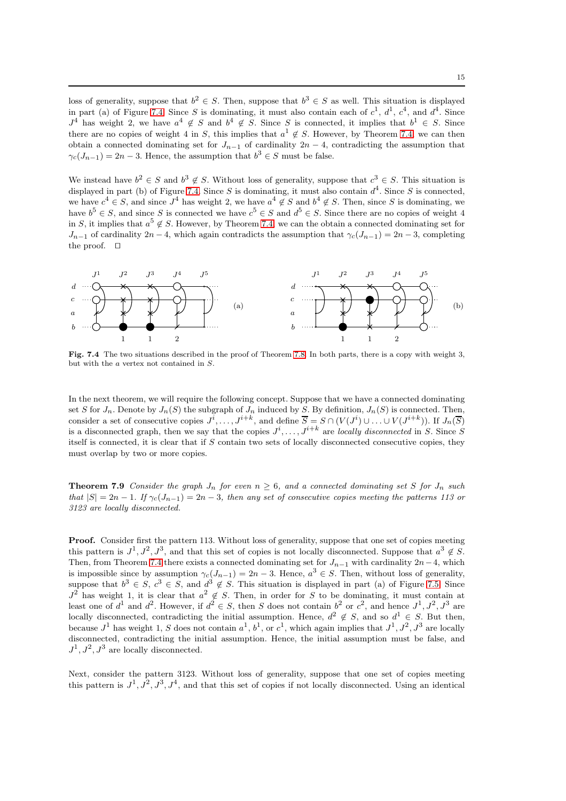loss of generality, suppose that  $b^2 \in S$ . Then, suppose that  $b^3 \in S$  as well. This situation is displayed in part (a) of Figure [7.4.](#page-14-0) Since S is dominating, it must also contain each of  $c^1$ ,  $d^1$ ,  $c^4$ , and  $d^4$ . Since  $J^4$  has weight 2, we have  $a^4 \notin S$  and  $b^4 \notin S$ . Since S is connected, it implies that  $b^1 \in S$ . Since there are no copies of weight 4 in S, this implies that  $a^1 \notin S$ . However, by Theorem [7.4,](#page-11-3) we can then obtain a connected dominating set for  $J_{n-1}$  of cardinality  $2n-4$ , contradicting the assumption that  $\gamma_c(J_{n-1}) = 2n - 3$ . Hence, the assumption that  $b^3 \in S$  must be false.

We instead have  $b^2 \in S$  and  $b^3 \notin S$ . Without loss of generality, suppose that  $c^3 \in S$ . This situation is displayed in part (b) of Figure [7.4.](#page-14-0) Since S is dominating, it must also contain  $d^4$ . Since S is connected, we have  $c^4 \in S$ , and since  $J^4$  has weight 2, we have  $a^4 \notin S$  and  $b^4 \notin S$ . Then, since S is dominating, we have  $b^5 \in S$ , and since S is connected we have  $c^5 \in S$  and  $d^5 \in S$ . Since there are no copies of weight 4 in S, it implies that  $a^5 \notin S$ . However, by Theorem [7.4,](#page-11-3) we can the obtain a connected dominating set for  $J_{n-1}$  of cardinality  $2n-4$ , which again contradicts the assumption that  $\gamma_c(J_{n-1}) = 2n-3$ , completing the proof. ⊓⊔



<span id="page-14-0"></span>Fig. 7.4 The two situations described in the proof of Theorem [7.8.](#page-13-1) In both parts, there is a copy with weight 3, but with the a vertex not contained in S.

In the next theorem, we will require the following concept. Suppose that we have a connected dominating set S for  $J_n$ . Denote by  $J_n(S)$  the subgraph of  $J_n$  induced by S. By definition,  $J_n(S)$  is connected. Then, consider a set of consecutive copies  $J^i, \ldots, J^{i+k}$ , and define  $\overline{S} = S \cap (V(J^i) \cup \ldots \cup V(J^{i+k}))$ . If  $J_n(\overline{S})$ is a disconnected graph, then we say that the copies  $J^i, \ldots, J^{i+k}$  are locally disconnected in S. Since S itself is connected, it is clear that if S contain two sets of locally disconnected consecutive copies, they must overlap by two or more copies.

<span id="page-14-1"></span>**Theorem 7.9** Consider the graph  $J_n$  for even  $n \geq 6$ , and a connected dominating set S for  $J_n$  such that  $|S| = 2n - 1$ . If  $\gamma_c(J_{n-1}) = 2n - 3$ , then any set of consecutive copies meeting the patterns 113 or 3123 are locally disconnected.

**Proof.** Consider first the pattern 113. Without loss of generality, suppose that one set of copies meeting this pattern is  $J^1, J^2, J^3$ , and that this set of copies is not locally disconnected. Suppose that  $a^3 \notin S$ . Then, from Theorem [7.4](#page-11-3) there exists a connected dominating set for  $J_{n-1}$  with cardinality 2n−4, which is impossible since by assumption  $\gamma_c(J_{n-1}) = 2n - 3$ . Hence,  $a^3 \in S$ . Then, without loss of generality, suppose that  $b^3 \in S$ ,  $c^3 \in S$ , and  $d^3 \notin S$ . This situation is displayed in part (a) of Figure [7.5.](#page-15-0) Since  $J^2$  has weight 1, it is clear that  $a^2 \notin S$ . Then, in order for S to be dominating, it must contain at least one of  $d^1$  and  $d^2$ . However, if  $d^2 \in S$ , then S does not contain  $b^2$  or  $c^2$ , and hence  $J^1, J^2, J^3$  are locally disconnected, contradicting the initial assumption. Hence,  $d^2 \notin S$ , and so  $d^1 \in S$ . But then, because  $J^1$  has weight 1, S does not contain  $a^1$ ,  $b^1$ , or  $c^1$ , which again implies that  $J^1$ ,  $J^2$ ,  $J^3$  are locally disconnected, contradicting the initial assumption. Hence, the initial assumption must be false, and  $J^1, J^2, J^3$  are locally disconnected.

Next, consider the pattern 3123. Without loss of generality, suppose that one set of copies meeting this pattern is  $J^1, J^2, J^3, J^4$ , and that this set of copies if not locally disconnected. Using an identical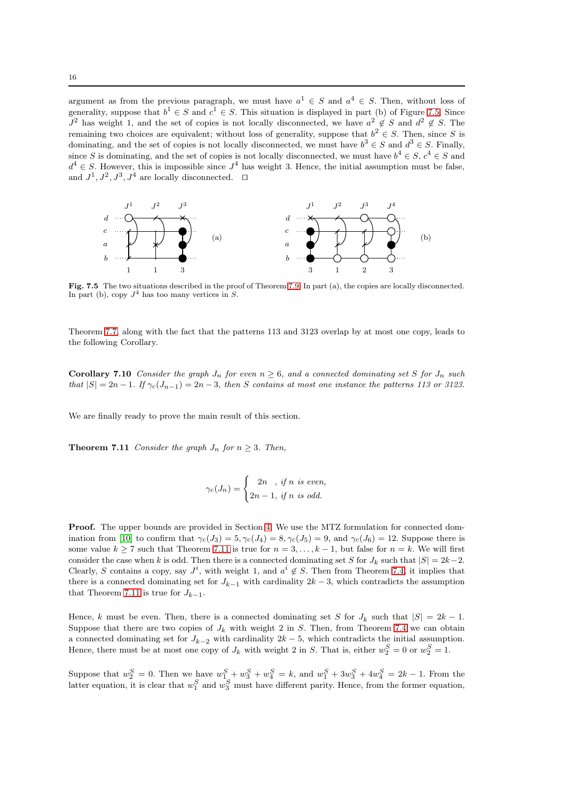argument as from the previous paragraph, we must have  $a^1 \in S$  and  $a^4 \in S$ . Then, without loss of generality, suppose that  $b^1 \in S$  and  $c^1 \in S$ . This situation is displayed in part (b) of Figure [7.5.](#page-15-0) Since  $J^2$  has weight 1, and the set of copies is not locally disconnected, we have  $a^2 \notin S$  and  $d^2 \notin S$ . The remaining two choices are equivalent; without loss of generality, suppose that  $b^2 \in S$ . Then, since S is dominating, and the set of copies is not locally disconnected, we must have  $b^3 \in S$  and  $d^3 \in S$ . Finally, since S is dominating, and the set of copies is not locally disconnected, we must have  $b^4 \in S$ ,  $c^4 \in S$  and  $d^4 \in S$ . However, this is impossible since  $J^4$  has weight 3. Hence, the initial assumption must be false, and  $J^1, J^2, J^3, J^4$  are locally disconnected.  $\Box$ 



<span id="page-15-0"></span>Fig. 7.5 The two situations described in the proof of Theorem [7.9.](#page-14-1) In part (a), the copies are locally disconnected. In part (b), copy  $J^4$  has too many vertices in S.

<span id="page-15-2"></span>Theorem [7.7,](#page-13-0) along with the fact that the patterns 113 and 3123 overlap by at most one copy, leads to the following Corollary.

**Corollary 7.10** Consider the graph  $J_n$  for even  $n \geq 6$ , and a connected dominating set S for  $J_n$  such that  $|S| = 2n - 1$ . If  $\gamma_c(J_{n-1}) = 2n - 3$ , then S contains at most one instance the patterns 113 or 3123.

<span id="page-15-1"></span>We are finally ready to prove the main result of this section.

**Theorem 7.11** Consider the graph  $J_n$  for  $n \geq 3$ . Then,

$$
\gamma_c(J_n) = \begin{cases} 2n, & \text{if } n \text{ is even,} \\ 2n-1, & \text{if } n \text{ is odd.} \end{cases}
$$

Proof. The upper bounds are provided in Section [4.](#page-7-0) We use the MTZ formulation for connected dom-ination from [\[10\]](#page-22-31) to confirm that  $\gamma_c(J_3) = 5, \gamma_c(J_4) = 8, \gamma_c(J_5) = 9$ , and  $\gamma_c(J_6) = 12$ . Suppose there is some value  $k \ge 7$  such that Theorem [7.11](#page-15-1) is true for  $n = 3, \ldots, k - 1$ , but false for  $n = k$ . We will first consider the case when k is odd. Then there is a connected dominating set S for  $J_k$  such that  $|S| = 2k-2$ . Clearly, S contains a copy, say  $J^i$ , with weight 1, and  $a^i \notin S$ . Then from Theorem [7.4,](#page-11-3) it implies that there is a connected dominating set for  $J_{k-1}$  with cardinality  $2k-3$ , which contradicts the assumption that Theorem [7.11](#page-15-1) is true for  $J_{k-1}$ .

Hence, k must be even. Then, there is a connected dominating set S for  $J_k$  such that  $|S| = 2k - 1$ . Suppose that there are two copies of  $J_k$  with weight 2 in S. Then, from Theorem [7.4](#page-11-3) we can obtain a connected dominating set for  $J_{k-2}$  with cardinality  $2k-5$ , which contradicts the initial assumption. Hence, there must be at most one copy of  $J_k$  with weight 2 in S. That is, either  $w_2^S = 0$  or  $w_2^S = 1$ .

Suppose that  $w_2^S = 0$ . Then we have  $w_1^S + w_3^S + w_4^S = k$ , and  $w_1^S + 3w_3^S + 4w_4^S = 2k - 1$ . From the latter equation, it is clear that  $w_1^S$  and  $w_3^S$  must have different parity. Hence, from the former equation,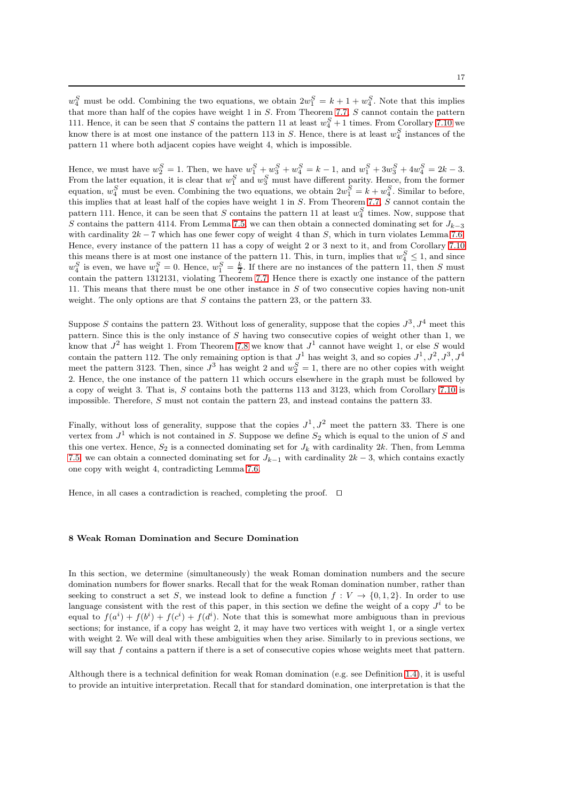$w_4^S$  must be odd. Combining the two equations, we obtain  $2w_1^S = k + 1 + w_4^S$ . Note that this implies that more than half of the copies have weight 1 in S. From Theorem [7.7,](#page-13-0) S cannot contain the pattern 111. Hence, it can be seen that S contains the pattern 11 at least  $w_4^S + 1$  times. From Corollary [7.10](#page-15-2) we know there is at most one instance of the pattern 113 in S. Hence, there is at least  $w_4^S$  instances of the pattern 11 where both adjacent copies have weight 4, which is impossible.

Hence, we must have  $w_2^S = 1$ . Then, we have  $w_1^S + w_3^S + w_4^S = k - 1$ , and  $w_1^S + 3w_3^S + 4w_4^S = 2k - 3$ . From the latter equation, it is clear that  $w_1^S$  and  $w_3^S$  must have different parity. Hence, from the former equation,  $w_4^S$  must be even. Combining the two equations, we obtain  $2w_1^S = k + w_4^S$ . Similar to before, this implies that at least half of the copies have weight 1 in S. From Theorem [7.7,](#page-13-0) S cannot contain the pattern 111. Hence, it can be seen that S contains the pattern 11 at least  $w_4^S$  times. Now, suppose that S contains the pattern 4114. From Lemma [7.5,](#page-12-0) we can then obtain a connected dominating set for  $J_{k-3}$ with cardinality  $2k - 7$  which has one fewer copy of weight 4 than S, which in turn violates Lemma [7.6.](#page-12-1) Hence, every instance of the pattern 11 has a copy of weight 2 or 3 next to it, and from Corollary [7.10](#page-15-2) this means there is at most one instance of the pattern 11. This, in turn, implies that  $w_4^S \le 1$ , and since  $w_4^S$  is even, we have  $w_4^S = 0$ . Hence,  $w_1^S = \frac{k}{2}$ . If there are no instances of the pattern 11, then S must contain the pattern 1312131, violating Theorem [7.7.](#page-13-0) Hence there is exactly one instance of the pattern 11. This means that there must be one other instance in S of two consecutive copies having non-unit weight. The only options are that  $S$  contains the pattern 23, or the pattern 33.

Suppose S contains the pattern 23. Without loss of generality, suppose that the copies  $J^3$ ,  $J^4$  meet this pattern. Since this is the only instance of  $S$  having two consecutive copies of weight other than 1, we know that  $J^2$  has weight 1. From Theorem [7.8](#page-13-1) we know that  $J^1$  cannot have weight 1, or else S would contain the pattern 112. The only remaining option is that  $J^1$  has weight 3, and so copies  $J^1, J^2, J^3, J^4$ meet the pattern 3123. Then, since  $J^3$  has weight 2 and  $w_2^S = 1$ , there are no other copies with weight 2. Hence, the one instance of the pattern 11 which occurs elsewhere in the graph must be followed by a copy of weight 3. That is, S contains both the patterns 113 and 3123, which from Corollary [7.10](#page-15-2) is impossible. Therefore, S must not contain the pattern 23, and instead contains the pattern 33.

Finally, without loss of generality, suppose that the copies  $J^1, J^2$  meet the pattern 33. There is one vertex from  $J^1$  which is not contained in S. Suppose we define  $S_2$  which is equal to the union of S and this one vertex. Hence,  $S_2$  is a connected dominating set for  $J_k$  with cardinality 2k. Then, from Lemma [7.5,](#page-12-0) we can obtain a connected dominating set for  $J_{k-1}$  with cardinality  $2k-3$ , which contains exactly one copy with weight 4, contradicting Lemma [7.6.](#page-12-1)

Hence, in all cases a contradiction is reached, completing the proof. ⊓⊔

#### 8 Weak Roman Domination and Secure Domination

In this section, we determine (simultaneously) the weak Roman domination numbers and the secure domination numbers for flower snarks. Recall that for the weak Roman domination number, rather than seeking to construct a set S, we instead look to define a function  $f: V \to \{0, 1, 2\}$ . In order to use language consistent with the rest of this paper, in this section we define the weight of a copy  $J^i$  to be equal to  $f(a^i) + f(b^i) + f(c^i) + f(d^i)$ . Note that this is somewhat more ambiguous than in previous sections; for instance, if a copy has weight 2, it may have two vertices with weight 1, or a single vertex with weight 2. We will deal with these ambiguities when they arise. Similarly to in previous sections, we will say that  $f$  contains a pattern if there is a set of consecutive copies whose weights meet that pattern.

Although there is a technical definition for weak Roman domination (e.g. see Definition [1.4\)](#page-1-0), it is useful to provide an intuitive interpretation. Recall that for standard domination, one interpretation is that the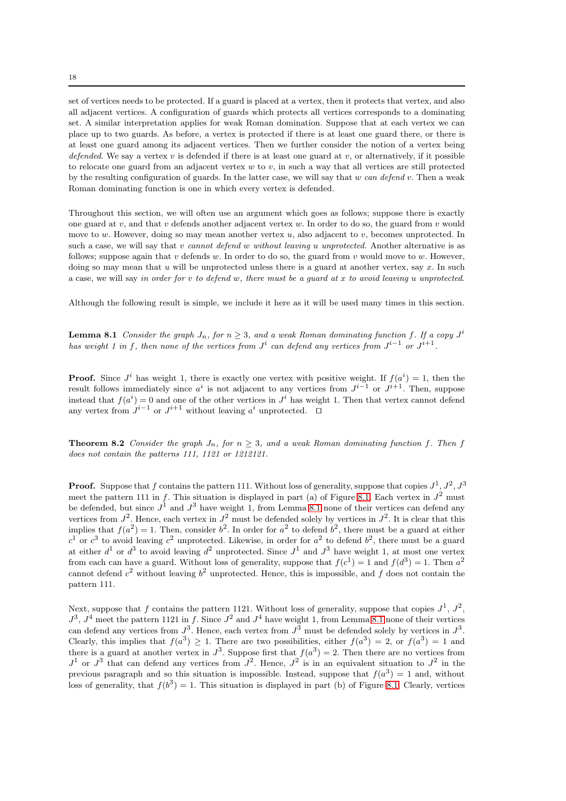set of vertices needs to be protected. If a guard is placed at a vertex, then it protects that vertex, and also all adjacent vertices. A configuration of guards which protects all vertices corresponds to a dominating set. A similar interpretation applies for weak Roman domination. Suppose that at each vertex we can place up to two guards. As before, a vertex is protected if there is at least one guard there, or there is at least one guard among its adjacent vertices. Then we further consider the notion of a vertex being defended. We say a vertex v is defended if there is at least one guard at v, or alternatively, if it possible to relocate one guard from an adjacent vertex  $w$  to  $v$ , in such a way that all vertices are still protected by the resulting configuration of guards. In the latter case, we will say that  $w$  can defend  $v$ . Then a weak Roman dominating function is one in which every vertex is defended.

Throughout this section, we will often use an argument which goes as follows; suppose there is exactly one guard at  $v$ , and that  $v$  defends another adjacent vertex  $w$ . In order to do so, the guard from  $v$  would move to w. However, doing so may mean another vertex  $u$ , also adjacent to  $v$ , becomes unprotected. In such a case, we will say that v cannot defend w without leaving u unprotected. Another alternative is as follows; suppose again that  $v$  defends  $w$ . In order to do so, the guard from  $v$  would move to  $w$ . However, doing so may mean that u will be unprotected unless there is a guard at another vertex, say x. In such a case, we will say in order for v to defend w, there must be a guard at x to avoid leaving u unprotected.

<span id="page-17-0"></span>Although the following result is simple, we include it here as it will be used many times in this section.

**Lemma 8.1** Consider the graph  $J_n$ , for  $n \geq 3$ , and a weak Roman dominating function f. If a copy  $J^i$ has weight 1 in f, then none of the vertices from  $J^i$  can defend any vertices from  $J^{i-1}$  or  $J^{i+1}$ .

**Proof.** Since  $J^i$  has weight 1, there is exactly one vertex with positive weight. If  $f(a^i) = 1$ , then the result follows immediately since  $a^i$  is not adjacent to any vertices from  $J^{i-1}$  or  $J^{i+1}$ . Then, suppose instead that  $f(a^i) = 0$  and one of the other vertices in  $J^i$  has weight 1. Then that vertex cannot defend any vertex from  $J^{i-1}$  or  $J^{i+1}$  without leaving  $a^i$  unprotected.  $\Box$ 

<span id="page-17-1"></span>**Theorem 8.2** Consider the graph  $J_n$ , for  $n > 3$ , and a weak Roman dominating function f. Then f does not contain the patterns 111, 1121 or 1212121.

**Proof.** Suppose that f contains the pattern 111. Without loss of generality, suppose that copies  $J^1, J^2, J^3$ meet the pattern 111 in f. This situation is displayed in part (a) of Figure [8.1.](#page-18-0) Each vertex in  $J^2$  must be defended, but since  $J^1$  and  $J^3$  have weight 1, from Lemma [8.1](#page-17-0) none of their vertices can defend any vertices from  $J^2$ . Hence, each vertex in  $J^2$  must be defended solely by vertices in  $J^2$ . It is clear that this implies that  $f(a^2) = 1$ . Then, consider  $b^2$ . In order for  $a^2$  to defend  $b^2$ , there must be a guard at either  $c^1$  or  $c^3$  to avoid leaving  $c^2$  unprotected. Likewise, in order for  $a^2$  to defend  $b^2$ , there must be a guard at either  $d^1$  or  $d^3$  to avoid leaving  $d^2$  unprotected. Since  $J^1$  and  $J^3$  have weight 1, at most one vertex from each can have a guard. Without loss of generality, suppose that  $f(c^1) = 1$  and  $f(d^3) = 1$ . Then  $a^2$ cannot defend  $c^2$  without leaving  $b^2$  unprotected. Hence, this is impossible, and f does not contain the pattern 111.

Next, suppose that f contains the pattern 1121. Without loss of generality, suppose that copies  $J^1$ ,  $J^2$ ,  $J^3$ ,  $J^4$  meet the pattern 1121 in f. Since  $J^2$  and  $J^4$  have weight 1, from Lemma [8.1](#page-17-0) none of their vertices can defend any vertices from  $J^3$ . Hence, each vertex from  $J^3$  must be defended solely by vertices in  $J^3$ . Clearly, this implies that  $f(a^3) \ge 1$ . There are two possibilities, either  $f(a^3) = 2$ , or  $f(a^3) = 1$  and there is a guard at another vertex in  $J^3$ . Suppose first that  $f(a^3) = 2$ . Then there are no vertices from  $J^1$  or  $J^3$  that can defend any vertices from  $J^2$ . Hence,  $J^2$  is in an equivalent situation to  $J^2$  in the previous paragraph and so this situation is impossible. Instead, suppose that  $f(a^3) = 1$  and, without loss of generality, that  $f(b^3) = 1$ . This situation is displayed in part (b) of Figure [8.1.](#page-18-0) Clearly, vertices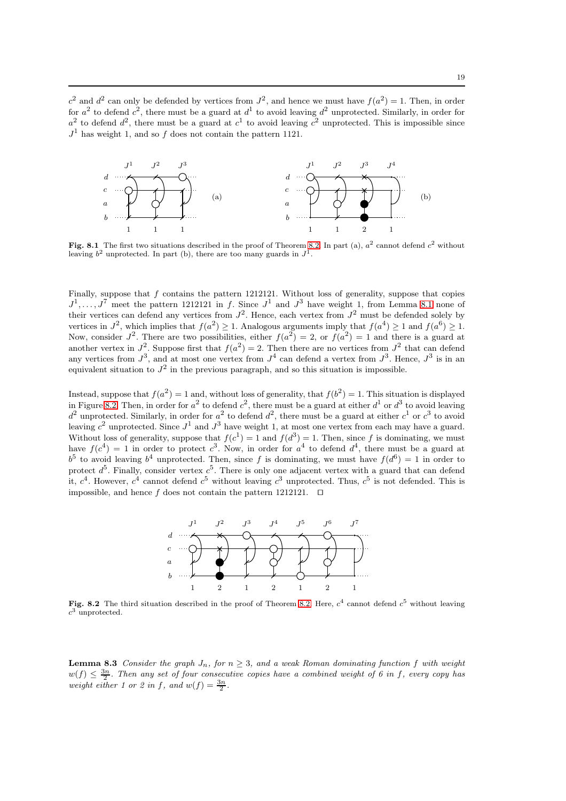$c^2$  and  $d^2$  can only be defended by vertices from  $J^2$ , and hence we must have  $f(a^2) = 1$ . Then, in order for  $a^2$  to defend  $c^2$ , there must be a guard at  $d^1$  to avoid leaving  $d^2$  unprotected. Similarly, in order for  $a^2$  to defend  $d^2$ , there must be a guard at  $c^1$  to avoid leaving  $c^2$  unprotected. This is impossible since  $J<sup>1</sup>$  has weight 1, and so f does not contain the pattern 1121.



<span id="page-18-0"></span>Fig. 8.1 The first two situations described in the proof of Theorem [8.2.](#page-17-1) In part (a),  $a^2$  cannot defend  $c^2$  without leaving  $b^2$  unprotected. In part (b), there are too many guards in  $J^1$ .

Finally, suppose that f contains the pattern 1212121. Without loss of generality, suppose that copies  $J^1, \ldots, J^7$  meet the pattern 1212121 in f. Since  $J^1$  and  $J^3$  have weight 1, from Lemma [8.1](#page-17-0) none of their vertices can defend any vertices from  $J^2$ . Hence, each vertex from  $J^2$  must be defended solely by vertices in  $J^2$ , which implies that  $f(a^2) \geq 1$ . Analogous arguments imply that  $f(a^4) \geq 1$  and  $f(a^6) \geq 1$ . Now, consider  $J^2$ . There are two possibilities, either  $f(a^2) = 2$ , or  $f(a^2) = 1$  and there is a guard at another vertex in  $J^2$ . Suppose first that  $f(a^2) = 2$ . Then there are no vertices from  $J^2$  that can defend any vertices from  $J^3$ , and at most one vertex from  $J^4$  can defend a vertex from  $J^3$ . Hence,  $J^3$  is in an equivalent situation to  $J^2$  in the previous paragraph, and so this situation is impossible.

Instead, suppose that  $f(a^2) = 1$  and, without loss of generality, that  $f(b^2) = 1$ . This situation is displayed in Figure [8.2.](#page-18-1) Then, in order for  $a^2$  to defend  $c^2$ , there must be a guard at either  $d^1$  or  $d^3$  to avoid leaving  $d^2$  unprotected. Similarly, in order for  $a^2$  to defend  $d^2$ , there must be a guard at either  $c^1$  or  $c^3$  to avoid leaving  $c^2$  unprotected. Since  $J^1$  and  $J^3$  have weight 1, at most one vertex from each may have a guard. Without loss of generality, suppose that  $f(c^1) = 1$  and  $f(d^3) = 1$ . Then, since f is dominating, we must have  $f(c^4) = 1$  in order to protect  $c^3$ . Now, in order for  $a^4$  to defend  $d^4$ , there must be a guard at  $b^5$  to avoid leaving  $b^4$  unprotected. Then, since f is dominating, we must have  $f(d^6) = 1$  in order to protect  $d^5$ . Finally, consider vertex  $c^5$ . There is only one adjacent vertex with a guard that can defend it,  $c^4$ . However,  $c^4$  cannot defend  $c^5$  without leaving  $c^3$  unprotected. Thus,  $c^5$  is not defended. This is impossible, and hence f does not contain the pattern 1212121.  $□$ 



<span id="page-18-2"></span><span id="page-18-1"></span>Fig. 8.2 The third situation described in the proof of Theorem [8.2.](#page-17-1) Here,  $c^4$  cannot defend  $c^5$  without leaving  $c^3$  unprotected.

**Lemma 8.3** Consider the graph  $J_n$ , for  $n \geq 3$ , and a weak Roman dominating function f with weight  $w(f) \leq \frac{3n}{2}$ . Then any set of four consecutive copies have a combined weight of 6 in f, every copy has weight either 1 or 2 in f, and  $w(f) = \frac{3n}{2}$ .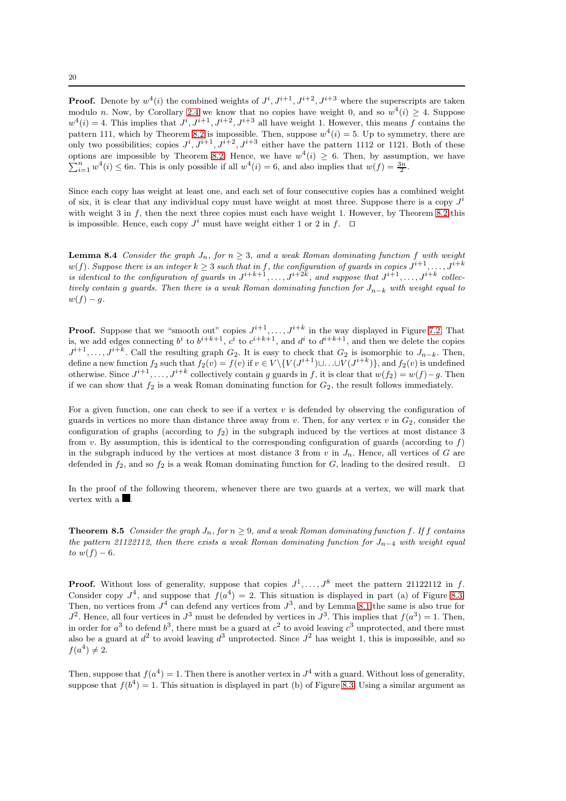**Proof.** Denote by  $w^4(i)$  the combined weights of  $J^i, J^{i+1}, J^{i+2}, J^{i+3}$  where the superscripts are taken modulo n. Now, by Corollary [2.4](#page-4-1) we know that no copies have weight 0, and so  $w^4(i) \geq 4$ . Suppose  $w^4(i) = 4$ . This implies that  $J^i, J^{i+1}, J^{i+2}, J^{i+3}$  all have weight 1. However, this means f contains the pattern 111, which by Theorem [8.2](#page-17-1) is impossible. Then, suppose  $w^4(i) = 5$ . Up to symmetry, there are only two possibilities; copies  $J^i, J^{i+1}, J^{i+2}, J^{i+3}$  either have the pattern 1112 or 1121. Both of these options are impossible by Theorem [8.2.](#page-17-1) Hence, we have  $w^4(i) \geq 6$ . Then, by assumption, we have  $\sum_{i=1}^{n} w^4(i) \leq 6n$ . This is only possible if all  $w^4(i) = 6$ , and also implies that  $w(f) = \frac{3n}{2}$ .

Since each copy has weight at least one, and each set of four consecutive copies has a combined weight of six, it is clear that any individual copy must have weight at most three. Suppose there is a copy  $J^i$ with weight 3 in  $f$ , then the next three copies must each have weight 1. However, by Theorem [8.2](#page-17-1) this is impossible. Hence, each copy  $J^i$  must have weight either 1 or 2 in f.  $\Box$ 

<span id="page-19-0"></span>**Lemma 8.4** Consider the graph  $J_n$ , for  $n \geq 3$ , and a weak Roman dominating function f with weight  $w(f)$ . Suppose there is an integer  $k\geq 3$  such that in f, the configuration of guards in copies  $J^{i+1},\ldots,J^{i+k}$ is identical to the configuration of guards in  $J^{i+k+1}, \ldots, J^{i+2k}$ , and suppose that  $J^{i+1}, \ldots, J^{i+k}$  collectively contain g guards. Then there is a weak Roman dominating function for  $J_{n-k}$  with weight equal to  $w(f) - q.$ 

**Proof.** Suppose that we "smooth out" copies  $J^{i+1}, \ldots, J^{i+k}$  in the way displayed in Figure [7.2.](#page-18-1) That is, we add edges connecting  $b^i$  to  $b^{i+k+1}$ ,  $c^i$  to  $c^{i+k+1}$ , and  $d^i$  to  $d^{i+k+1}$ , and then we delete the copies  $J^{i+1}, \ldots, J^{i+k}$ . Call the resulting graph  $G_2$ . It is easy to check that  $G_2$  is isomorphic to  $J_{n-k}$ . Then, define a new function  $f_2$  such that  $f_2(v) = f(v)$  if  $v \in V \setminus \{V(J^{i+1}) \cup \ldots \cup V(J^{i+k})\}$ , and  $f_2(v)$  is undefined otherwise. Since  $J^{i+1}, \ldots, J^{i+k}$  collectively contain g guards in f, it is clear that  $w(f_2) = w(f) - g$ . Then if we can show that  $f_2$  is a weak Roman dominating function for  $G_2$ , the result follows immediately.

For a given function, one can check to see if a vertex  $v$  is defended by observing the configuration of guards in vertices no more than distance three away from v. Then, for any vertex v in  $G_2$ , consider the configuration of graphs (according to  $f_2$ ) in the subgraph induced by the vertices at most distance 3 from v. By assumption, this is identical to the corresponding configuration of guards (according to  $f$ ) in the subgraph induced by the vertices at most distance 3 from  $v$  in  $J_n$ . Hence, all vertices of G are defended in  $f_2$ , and so  $f_2$  is a weak Roman dominating function for G, leading to the desired result. □

<span id="page-19-1"></span>In the proof of the following theorem, whenever there are two guards at a vertex, we will mark that vertex with a  $\blacksquare$ .

**Theorem 8.5** Consider the graph  $J_n$ , for  $n > 9$ , and a weak Roman dominating function f. If f contains the pattern 21122112, then there exists a weak Roman dominating function for  $J_{n-4}$  with weight equal to  $w(f) - 6$ .

**Proof.** Without loss of generality, suppose that copies  $J^1, \ldots, J^8$  meet the pattern 21122112 in f. Consider copy  $J^4$ , and suppose that  $f(a^4) = 2$ . This situation is displayed in part (a) of Figure [8.3.](#page-21-4) Then, no vertices from  $J^4$  can defend any vertices from  $J^3$ , and by Lemma [8.1](#page-17-0) the same is also true for  $J^2$ . Hence, all four vertices in  $J^3$  must be defended by vertices in  $J^3$ . This implies that  $f(a^3) = 1$ . Then, in order for  $a^3$  to defend  $b^3$ , there must be a guard at  $c^2$  to avoid leaving  $c^3$  unprotected, and there must also be a guard at  $d^2$  to avoid leaving  $d^3$  unprotected. Since  $J^2$  has weight 1, this is impossible, and so  $f(a^4) \neq 2$ .

Then, suppose that  $f(a^4) = 1$ . Then there is another vertex in  $J^4$  with a guard. Without loss of generality, suppose that  $f(b^4) = 1$ . This situation is displayed in part (b) of Figure [8.3.](#page-21-4) Using a similar argument as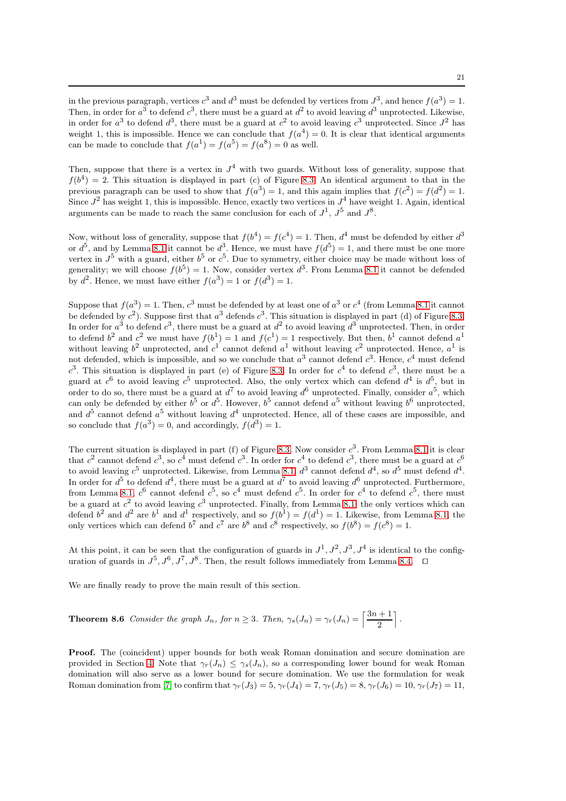Then, suppose that there is a vertex in  $J^4$  with two guards. Without loss of generality, suppose that  $f(b^4) = 2$ . This situation is displayed in part (c) of Figure [8.3.](#page-21-4) An identical argument to that in the previous paragraph can be used to show that  $f(a^3) = 1$ , and this again implies that  $f(c^2) = f(d^2) = 1$ . Since  $J^2$  has weight 1, this is impossible. Hence, exactly two vertices in  $J^4$  have weight 1. Again, identical arguments can be made to reach the same conclusion for each of  $J^1$ ,  $J^5$  and  $J^8$ .

Now, without loss of generality, suppose that  $f(b^4) = f(c^4) = 1$ . Then,  $d^4$  must be defended by either  $d^3$ or  $d^5$ , and by Lemma [8.1](#page-17-0) it cannot be  $d^3$ . Hence, we must have  $f(d^5) = 1$ , and there must be one more vertex in  $J^5$  with a guard, either  $b^5$  or  $c^5$ . Due to symmetry, either choice may be made without loss of generality; we will choose  $f(b^5) = 1$ . Now, consider vertex  $d^3$ . From Lemma [8.1](#page-17-0) it cannot be defended by  $d^2$ . Hence, we must have either  $f(a^3) = 1$  or  $f(d^3) = 1$ .

Suppose that  $f(a^3) = 1$ . Then,  $c^3$  must be defended by at least one of  $a^3$  or  $c^4$  (from Lemma [8.1](#page-17-0) it cannot be defended by  $c^2$ ). Suppose first that  $a^3$  defends  $c^3$ . This situation is displayed in part (d) of Figure [8.3.](#page-21-4) In order for  $a^3$  to defend  $c^3$ , there must be a guard at  $d^2$  to avoid leaving  $d^3$  unprotected. Then, in order to defend  $b^2$  and  $c^2$  we must have  $f(b^1) = 1$  and  $f(c^1) = 1$  respectively. But then,  $b^1$  cannot defend  $a^1$ without leaving  $b^2$  unprotected, and  $c^1$  cannot defend  $a^1$  without leaving  $c^2$  unprotected. Hence,  $a^1$  is not defended, which is impossible, and so we conclude that  $a^3$  cannot defend  $c^3$ . Hence,  $c^4$  must defend  $c^3$ . This situation is displayed in part (e) of Figure [8.3.](#page-21-4) In order for  $c^4$  to defend  $c^3$ , there must be a guard at  $c^6$  to avoid leaving  $c^5$  unprotected. Also, the only vertex which can defend  $d^4$  is  $d^5$ , but in order to do so, there must be a guard at  $d^7$  to avoid leaving  $d^6$  unprotected. Finally, consider  $a^5$ , which can only be defended by either  $b^5$  or  $d^5$ . However,  $b^5$  cannot defend  $a^5$  without leaving  $b^6$  unprotected, and  $d^5$  cannot defend  $a^5$  without leaving  $d^4$  unprotected. Hence, all of these cases are impossible, and so conclude that  $f(a^3) = 0$ , and accordingly,  $f(d^3) = 1$ .

The current situation is displayed in part (f) of Figure [8.3.](#page-21-4) Now consider  $c^3$ . From Lemma [8.1](#page-17-0) it is clear that  $c^2$  cannot defend  $c^3$ , so  $c^4$  must defend  $c^3$ . In order for  $c^4$  to defend  $c^3$ , there must be a guard at  $c^6$ to avoid leaving  $c^5$  unprotected. Likewise, from Lemma [8.1,](#page-17-0)  $d^3$  cannot defend  $d^4$ , so  $d^5$  must defend  $d^4$ . In order for  $d^5$  to defend  $d^4$ , there must be a guard at  $d^7$  to avoid leaving  $d^6$  unprotected. Furthermore, from Lemma [8.1,](#page-17-0)  $c^6$  cannot defend  $c^5$ , so  $c^4$  must defend  $c^5$ . In order for  $c^4$  to defend  $c^5$ , there must be a guard at  $c^2$  to avoid leaving  $c^3$  unprotected. Finally, from Lemma [8.1,](#page-17-0) the only vertices which can defend  $b^2$  and  $d^2$  are  $b^1$  and  $d^1$  respectively, and so  $f(b^1) = f(d^1) = 1$ . Likewise, from Lemma [8.1,](#page-17-0) the only vertices which can defend  $b^7$  and  $c^7$  are  $b^8$  and  $c^8$  respectively, so  $f(b^8) = f(c^8) = 1$ .

At this point, it can be seen that the configuration of guards in  $J^1, J^2, J^3, J^4$  is identical to the configuration of guards in  $J^5, J^6, J^7, J^8$ . Then, the result follows immediately from Lemma [8.4.](#page-19-0) □

<span id="page-20-0"></span>We are finally ready to prove the main result of this section.

**Theorem 8.6** Consider the graph  $J_n$ , for  $n \geq 3$ . Then,  $\gamma_s(J_n) = \gamma_r(J_n) = \left\lceil \frac{3n+1}{2} \right\rceil$ 2 m .

Proof. The (coincident) upper bounds for both weak Roman domination and secure domination are provided in Section [4.](#page-7-0) Note that  $\gamma_r(J_n) \leq \gamma_s(J_n)$ , so a corresponding lower bound for weak Roman domination will also serve as a lower bound for secure domination. We use the formulation for weak Roman domination from [\[7\]](#page-22-30) to confirm that  $\gamma_r(J_3) = 5$ ,  $\gamma_r(J_4) = 7$ ,  $\gamma_r(J_5) = 8$ ,  $\gamma_r(J_6) = 10$ ,  $\gamma_r(J_7) = 11$ ,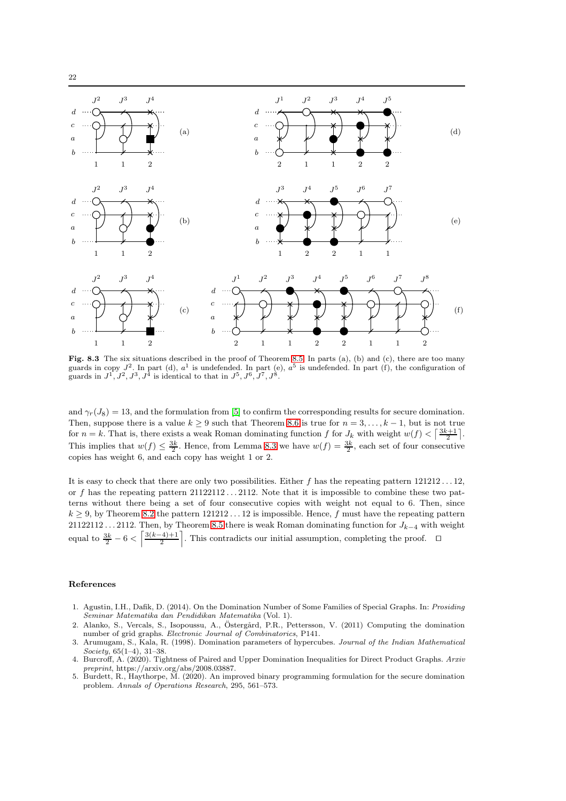

<span id="page-21-4"></span>Fig. 8.3 The six situations described in the proof of Theorem [8.5.](#page-19-1) In parts (a), (b) and (c), there are too many guards in copy  $J^2$ . In part (d),  $a^1$  is undefended. In part (e),  $a^5$  is undefended. In part (f), the configuration of guards in  $J^1, J^2, J^3, J^{\bar{4}}$  is identical to that in  $J^5, J^6, J^7, J^8$ .

and  $\gamma_T(J_8) = 13$ , and the formulation from [\[5\]](#page-21-5) to confirm the corresponding results for secure domination. Then, suppose there is a value  $k \ge 9$  such that Theorem [8.6](#page-20-0) is true for  $n = 3, \ldots, k - 1$ , but is not true for  $n = k$ . That is, there exists a weak Roman dominating function f for  $J_k$  with weight  $w(f) < \left\lceil \frac{3k+1}{2} \right\rceil$ . This implies that  $w(f) \leq \frac{3k}{2}$ . Hence, from Lemma [8.3](#page-18-2) we have  $w(f) = \frac{3k}{2}$ , each set of four consecutive copies has weight 6, and each copy has weight 1 or 2.

It is easy to check that there are only two possibilities. Either f has the repeating pattern 121212 . . . 12, or f has the repeating pattern  $21122112...2112$ . Note that it is impossible to combine these two patterns without there being a set of four consecutive copies with weight not equal to 6. Then, since  $k \ge 9$ , by Theorem [8.2](#page-17-1) the pattern  $121212...12$  is impossible. Hence, f must have the repeating pattern 21122112 . . . 2112. Then, by Theorem [8.5](#page-19-1) there is weak Roman dominating function for  $J_{k-4}$  with weight equal to  $\frac{3k}{2} - 6 < \left[\frac{3(k-4)+1}{2}\right]$ . This contradicts our initial assumption, completing the proof.  $\Box$ 

#### References

- <span id="page-21-1"></span>1. Agustin, I.H., Dafik, D. (2014). On the Domination Number of Some Families of Special Graphs. In: *Prosiding Seminar Matematika dan Pendidikan Matematika* (Vol. 1).
- <span id="page-21-0"></span>Alanko, S., Vercals, S., Isopoussu, A., Östergård, P.R., Pettersson, V. (2011) Computing the domination number of grid graphs. *Electronic Journal of Combinatorics*, P141.
- <span id="page-21-2"></span>3. Arumugam, S., Kala, R. (1998). Domination parameters of hypercubes. *Journal of the Indian Mathematical Society*, 65(1–4), 31–38.
- <span id="page-21-3"></span>4. Burcroff, A. (2020). Tightness of Paired and Upper Domination Inequalities for Direct Product Graphs. *Arxiv preprint*, https://arxiv.org/abs/2008.03887.
- <span id="page-21-5"></span>5. Burdett, R., Haythorpe, M. (2020). An improved binary programming formulation for the secure domination problem. *Annals of Operations Research*, 295, 561–573.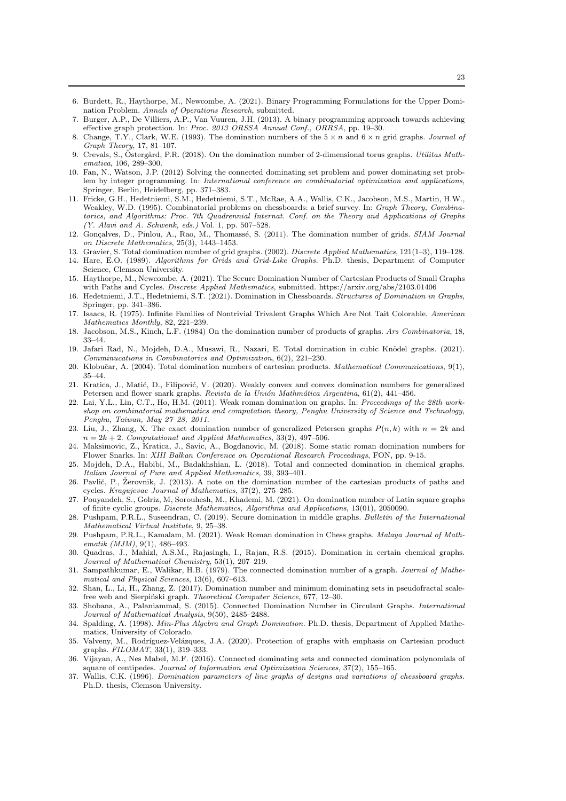- <span id="page-22-29"></span>6. Burdett, R., Haythorpe, M., Newcombe, A. (2021). Binary Programming Formulations for the Upper Domination Problem. *Annals of Operations Research*, submitted.
- <span id="page-22-30"></span>7. Burger, A.P., De Villiers, A.P., Van Vuuren, J.H. (2013). A binary programming approach towards achieving effective graph protection. In: *Proc. 2013 ORSSA Annual Conf., ORRSA*, pp. 19–30.
- <span id="page-22-2"></span>8. Change, T.Y., Clark, W.E. (1993). The domination numbers of the 5 × n and 6 × n grid graphs. *Journal of Graph Theory*, 17, 81–107.
- <span id="page-22-7"></span>Crevals, S., Östergård, P.R. (2018). On the domination number of 2-dimensional torus graphs. *Utilitas Mathematica*, 106, 289–300.
- <span id="page-22-31"></span>10. Fan, N., Watson, J.P. (2012) Solving the connected dominating set problem and power dominating set problem by integer programming. In: *International conference on combinatorial optimization and applications*, Springer, Berlin, Heidelberg, pp. 371–383.
- <span id="page-22-12"></span>11. Fricke, G.H., Hedetniemi, S.M., Hedetniemi, S.T., McRae, A.A., Wallis, C.K., Jacobson, M.S., Martin, H.W., Weakley, W.D. (1995). Combinatorial problems on chessboards: a brief survey. In: *Graph Theory, Combinatorics, and Algorithms: Proc. 7th Quadrennial Internat. Conf. on the Theory and Applications of Graphs (Y. Alavi and A. Schwenk, eds.)* Vol. 1, pp. 507–528.
- <span id="page-22-4"></span>12. Gonçalves, D., Pinlou, A., Rao, M., Thomassé, S. (2011). The domination number of grids. *SIAM Journal on Discrete Mathematics*, 25(3), 1443–1453.
- <span id="page-22-15"></span><span id="page-22-1"></span>13. Gravier, S. Total domination number of grid graphs. (2002). *Discrete Applied Mathematics*, 121(1–3), 119–128.
- 14. Hare, E.O. (1989). *Algorithms for Grids and Grid-Like Graphs.* Ph.D. thesis, Department of Computer Science, Clemson University.
- <span id="page-22-24"></span>15. Haythorpe, M., Newcombe, A. (2021). The Secure Domination Number of Cartesian Products of Small Graphs with Paths and Cycles. *Discrete Applied Mathematics*, submitted. https://arxiv.org/abs/2103.01406
- <span id="page-22-13"></span>16. Hedetniemi, J.T., Hedetniemi, S.T. (2021). Domination in Chessboards. *Structures of Domination in Graphs*, Springer, pp. 341–386.
- <span id="page-22-28"></span>17. Isaacs, R. (1975). Infinite Families of Nontrivial Trivalent Graphs Which Are Not Tait Colorable. *American Mathematics Monthly*, 82, 221–239.
- <span id="page-22-0"></span>18. Jacobson, M.S., Kinch, L.F. (1984) On the domination number of products of graphs. *Ars Combinatoria*, 18, 33–44.
- <span id="page-22-17"></span>19. Jafari Rad, N., Mojdeh, D.A., Musawi, R., Nazari, E. Total domination in cubic Knödel graphs. (2021). *Comminucations in Combinatorics and Optimization*, 6(2), 221–230.
- <span id="page-22-16"></span>20. Klobuˇcar, A. (2004). Total domination numbers of cartesian products. *Mathematical Communications*, 9(1), 35–44.
- <span id="page-22-27"></span>21. Kratica, J., Matić, D., Filipović, V. (2020). Weakly convex and convex domination numbers for generalized Petersen and flower snark graphs. *Revista de la Unión Mathmática Argentina*, 61(2), 441-456.
- <span id="page-22-23"></span>22. Lai, Y.L., Lin, C.T., Ho, H.M. (2011). Weak roman domination on graphs. In: *Proceedings of the 28th workshop on combinatorial mathematics and computation theory, Penghu University of Science and Technology, Penghu, Taiwan, May 27–28, 2011*.
- <span id="page-22-5"></span>23. Liu, J., Zhang, X. The exact domination number of generalized Petersen graphs  $P(n, k)$  with  $n = 2k$  and  $n = 2k + 2$ . *Computational and Applied Mathematics*, 33(2), 497-506.
- <span id="page-22-26"></span>24. Maksimovic, Z., Kratica, J., Savic, A., Bogdanovic, M. (2018). Some static roman domination numbers for Flower Snarks. In: *XIII Balkan Conference on Operational Research Proceedings*, FON, pp. 9-15.
- <span id="page-22-10"></span>25. Mojdeh, D.A., Habibi, M., Badakhshian, L. (2018). Total and connected domination in chemical graphs. *Italian Journal of Pure and Applied Mathematics*, 39, 393–401.
- <span id="page-22-6"></span>26. Pavlič, P., Žerovnik, J. (2013). A note on the domination number of the cartesian products of paths and cycles. *Kragujevac Journal of Mathematics*, 37(2), 275–285.
- <span id="page-22-8"></span>27. Pouyandeh, S., Golriz, M, Sorouhesh, M., Khademi, M. (2021). On domination number of Latin square graphs of finite cyclic groups. *Discrete Mathematics, Algorithms and Applications*, 13(01), 2050090.
- <span id="page-22-25"></span>28. Pushpam, P.R.L., Suseendran, C. (2019). Secure domination in middle graphs. *Bulletin of the International Mathematical Virtual Institute*, 9, 25–38.
- <span id="page-22-21"></span>29. Pushpam, P.R.L., Kamalam, M. (2021). Weak Roman domination in Chess graphs. *Malaya Journal of Mathematik (MJM)*, 9(1), 486–493.
- <span id="page-22-11"></span>30. Quadras, J., Mahizl, A.S.M., Rajasingh, I., Rajan, R.S. (2015). Domination in certain chemical graphs. *Journal of Mathematical Chemistry*, 53(1), 207–219.
- <span id="page-22-18"></span>31. Sampathkumar, E., Walikar, H.B. (1979). The connected domination number of a graph. *Journal of Mathematical and Physical Sciences*, 13(6), 607–613.
- <span id="page-22-9"></span>32. Shan, L., Li, H., Zhang, Z. (2017). Domination number and minimum dominating sets in pseudofractal scalefree web and Sierpiński graph. *Theoretical Computer Science*, 677, 12-30.
- <span id="page-22-19"></span>33. Shobana, A., Palaniammal, S. (2015). Connected Domination Number in Circulant Graphs. *International Journal of Mathematical Analysis*, 9(50), 2485–2488.
- <span id="page-22-3"></span>34. Spalding, A. (1998). *Min-Plus Algebra and Graph Domination.* Ph.D. thesis, Department of Applied Mathematics, University of Colorado.
- <span id="page-22-22"></span>35. Valveny, M., Rodríguez-Velázques, J.A. (2020). Protection of graphs with emphasis on Cartesian product graphs. *FILOMAT*, 33(1), 319–333.
- <span id="page-22-20"></span>36. Vijayan, A., Nes Mabel, M.F. (2016). Connected dominating sets and connected domination polynomials of square of centipedes. *Journal of Information and Optimization Sciences*, 37(2), 155–165.
- <span id="page-22-14"></span>37. Wallis, C.K. (1996). *Domination parameters of line graphs of designs and variations of chessboard graphs.* Ph.D. thesis, Clemson University.